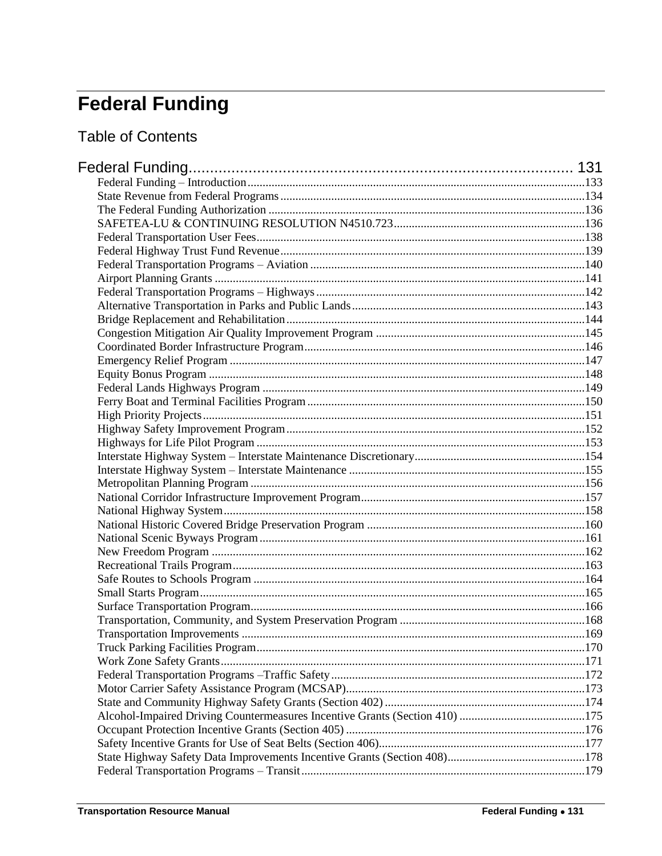# <span id="page-0-0"></span>**Federal Funding**

**Table of Contents**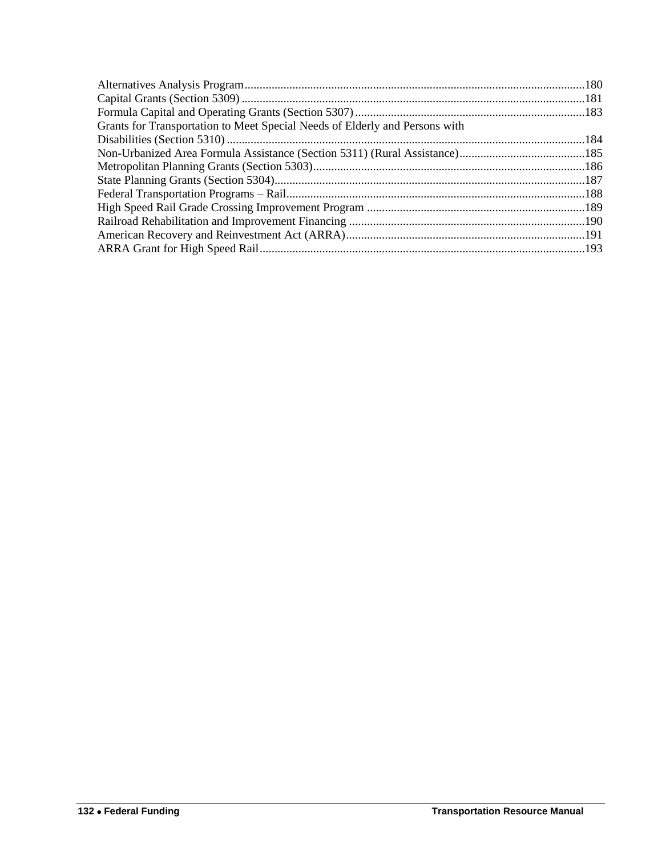| Grants for Transportation to Meet Special Needs of Elderly and Persons with |  |
|-----------------------------------------------------------------------------|--|
|                                                                             |  |
|                                                                             |  |
|                                                                             |  |
|                                                                             |  |
|                                                                             |  |
|                                                                             |  |
|                                                                             |  |
|                                                                             |  |
|                                                                             |  |
|                                                                             |  |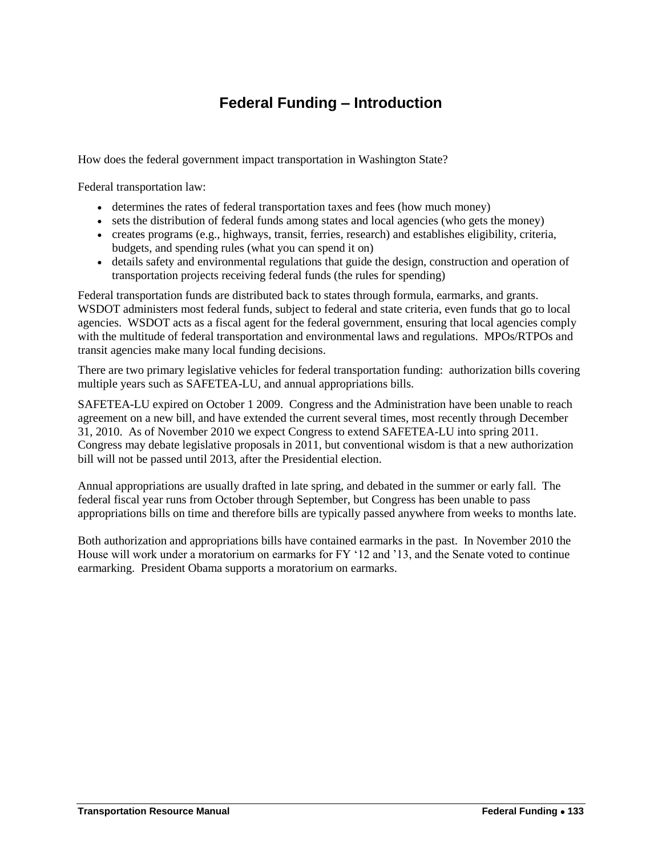## **Federal Funding – Introduction**

<span id="page-2-0"></span>How does the federal government impact transportation in Washington State?

Federal transportation law:

- determines the rates of federal transportation taxes and fees (how much money)
- sets the distribution of federal funds among states and local agencies (who gets the money)
- creates programs (e.g., highways, transit, ferries, research) and establishes eligibility, criteria, budgets, and spending rules (what you can spend it on)
- details safety and environmental regulations that guide the design, construction and operation of transportation projects receiving federal funds (the rules for spending)

Federal transportation funds are distributed back to states through formula, earmarks, and grants. WSDOT administers most federal funds, subject to federal and state criteria, even funds that go to local agencies. WSDOT acts as a fiscal agent for the federal government, ensuring that local agencies comply with the multitude of federal transportation and environmental laws and regulations. MPOs/RTPOs and transit agencies make many local funding decisions.

There are two primary legislative vehicles for federal transportation funding: authorization bills covering multiple years such as SAFETEA-LU, and annual appropriations bills.

SAFETEA-LU expired on October 1 2009. Congress and the Administration have been unable to reach agreement on a new bill, and have extended the current several times, most recently through December 31, 2010. As of November 2010 we expect Congress to extend SAFETEA-LU into spring 2011. Congress may debate legislative proposals in 2011, but conventional wisdom is that a new authorization bill will not be passed until 2013, after the Presidential election.

Annual appropriations are usually drafted in late spring, and debated in the summer or early fall. The federal fiscal year runs from October through September, but Congress has been unable to pass appropriations bills on time and therefore bills are typically passed anywhere from weeks to months late.

Both authorization and appropriations bills have contained earmarks in the past. In November 2010 the House will work under a moratorium on earmarks for FY '12 and '13, and the Senate voted to continue earmarking. President Obama supports a moratorium on earmarks.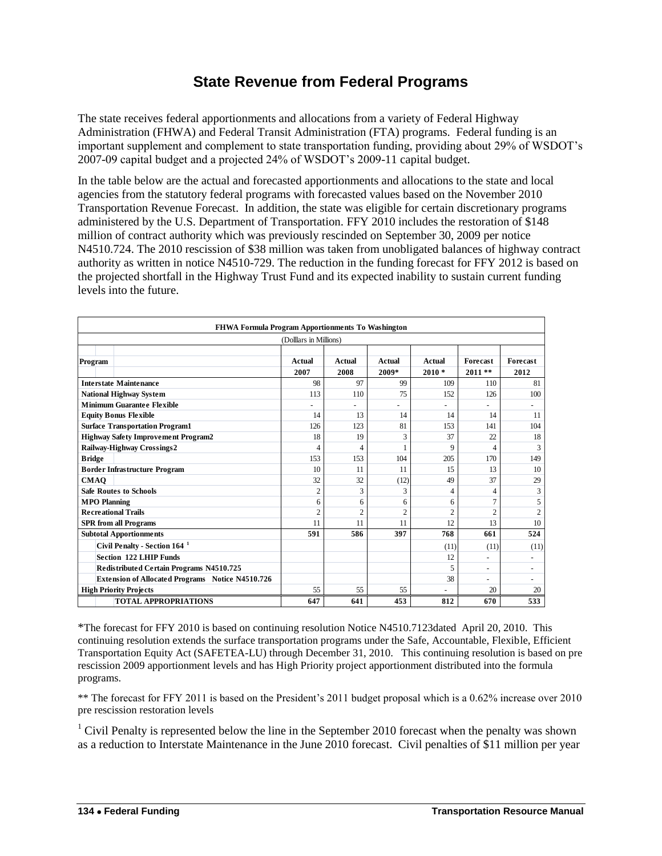## **State Revenue from Federal Programs**

<span id="page-3-0"></span>The state receives federal apportionments and allocations from a variety of Federal Highway Administration (FHWA) and Federal Transit Administration (FTA) programs. Federal funding is an important supplement and complement to state transportation funding, providing about 29% of WSDOT's 2007-09 capital budget and a projected 24% of WSDOT's 2009-11 capital budget.

In the table below are the actual and forecasted apportionments and allocations to the state and local agencies from the statutory federal programs with forecasted values based on the November 2010 Transportation Revenue Forecast. In addition, the state was eligible for certain discretionary programs administered by the U.S. Department of Transportation. FFY 2010 includes the restoration of \$148 million of contract authority which was previously rescinded on September 30, 2009 per notice N4510.724. The 2010 rescission of \$38 million was taken from unobligated balances of highway contract authority as written in notice N4510-729. The reduction in the funding forecast for FFY 2012 is based on the projected shortfall in the Highway Trust Fund and its expected inability to sustain current funding levels into the future.

| FHWA Formula Program Apportionments To Washington       |                |                |                |                |                 |                          |
|---------------------------------------------------------|----------------|----------------|----------------|----------------|-----------------|--------------------------|
| (Dolllars in Millions)                                  |                |                |                |                |                 |                          |
|                                                         |                |                |                |                |                 |                          |
| Program                                                 | Actual         | Actual         | Actual         | Actual         | <b>Forecast</b> | <b>Forecast</b>          |
|                                                         | 2007           | 2008           | 2009*          | $2010*$        | $2011**$        | 2012                     |
| <b>Interstate Maintenance</b>                           | 98             | 97             | 99             | 109            | 110             | 81                       |
| <b>National Highway System</b>                          | 113            | 110            | 75             | 152            | 126             | 100                      |
| <b>Minimum Guarantee Flexible</b>                       | ä,             |                |                |                |                 |                          |
| <b>Equity Bonus Flexible</b>                            | 14             | 13             | 14             | 14             | 14              | 11                       |
| <b>Surface Transportation Program1</b>                  | 126            | 123            | 81             | 153            | 141             | 104                      |
| <b>Highway Safety Improvement Program2</b>              | 18             | 19             | 3              | 37             | 22              | 18                       |
| Railway-Highway Crossings2                              | 4              | 4              | 1              | 9              | $\overline{4}$  | 3                        |
| <b>Bridge</b>                                           | 153            | 153            | 104            | 205            | 170             | 149                      |
| <b>Border Infrastructure Program</b>                    | 10             | 11             | 11             | 15             | 13              | 10                       |
| <b>CMAO</b>                                             | 32             | 32             | (12)           | 49             | 37              | 29                       |
| <b>Safe Routes to Schools</b>                           | $\overline{2}$ | 3              | 3              | 4              | $\overline{4}$  | 3                        |
| <b>MPO</b> Planning                                     | 6              | 6              | 6              | 6              | $\overline{7}$  | 5                        |
| <b>Recreational Trails</b>                              | $\overline{2}$ | $\overline{c}$ | $\overline{2}$ | $\overline{2}$ | $\overline{c}$  | $\overline{2}$           |
| <b>SPR</b> from all Programs                            | 11             | 11             | 11             | 12.            | 13              | 10                       |
| <b>Subtotal Apportionments</b>                          | 591            | 586            | 397            | 768            | 661             | 524                      |
| Civil Penalty - Section 164 <sup>1</sup>                |                |                |                | (11)           | (11)            | (11)                     |
| <b>Section 122 LHIP Funds</b>                           |                |                |                | 12             | ٠               | $\overline{\phantom{a}}$ |
| Redistributed Certain Programs N4510.725                |                |                |                | 5              |                 | ٠                        |
| <b>Extension of Allocated Programs Notice N4510.726</b> |                |                |                | 38             |                 |                          |
| <b>High Priority Projects</b>                           | 55             | 55             | 55             |                | 20              | 20                       |
| <b>TOTAL APPROPRIATIONS</b>                             | 647            | 641            | 453            | 812            | 670             | 533                      |

\*The forecast for FFY 2010 is based on continuing resolution Notice N4510.7123dated April 20, 2010. This continuing resolution extends the surface transportation programs under the Safe, Accountable, Flexible, Efficient Transportation Equity Act (SAFETEA-LU) through December 31, 2010. This continuing resolution is based on pre rescission 2009 apportionment levels and has High Priority project apportionment distributed into the formula programs.

\*\* The forecast for FFY 2011 is based on the President's 2011 budget proposal which is a 0.62% increase over 2010 pre rescission restoration levels

<sup>1</sup> Civil Penalty is represented below the line in the September 2010 forecast when the penalty was shown as a reduction to Interstate Maintenance in the June 2010 forecast. Civil penalties of \$11 million per year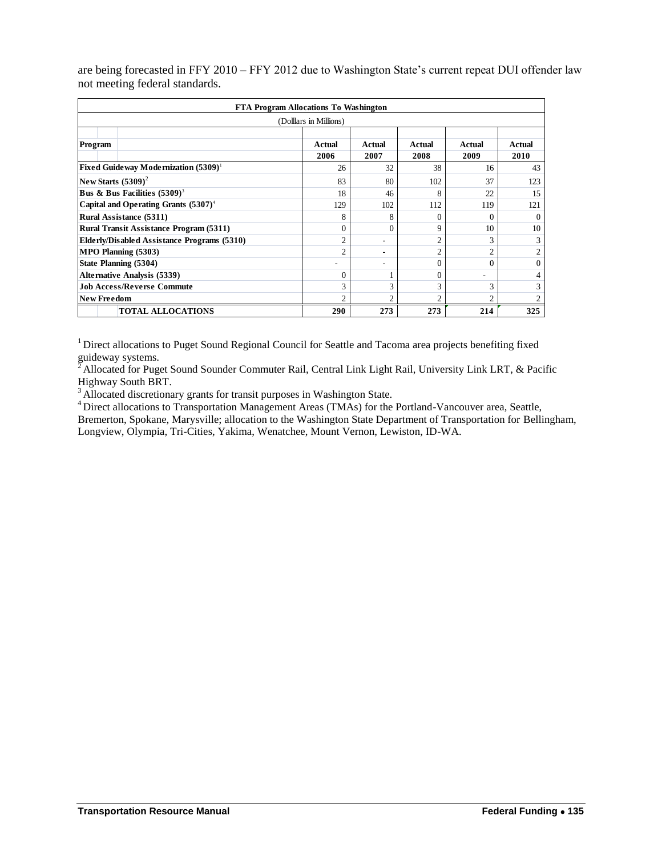are being forecasted in FFY 2010 – FFY 2012 due to Washington State's current repeat DUI offender law not meeting federal standards.

| FTA Program Allocations To Washington          |                |                |                |                |                |
|------------------------------------------------|----------------|----------------|----------------|----------------|----------------|
| (Dollars in Millions)                          |                |                |                |                |                |
| Program                                        | Actual<br>2006 | Actual<br>2007 | Actual<br>2008 | Actual<br>2009 | Actual<br>2010 |
| <b>Fixed Guideway Modernization</b> $(5309)^1$ | 26             | 32             | 38             | 16             | 43             |
| New Starts $(5309)^2$                          | 83             | 80             | 102            | 37             | 123            |
| <b>Bus &amp; Bus Facilities</b> $(5309)^3$     | 18             | 46             | 8              | 22             | 15             |
| Capital and Operating Grants $(5307)^4$        | 129            | 102            | 112            | 119            | 121            |
| Rural Assistance (5311)                        | 8              | 8              | $\Omega$       | $\Omega$       | $\Omega$       |
| <b>Rural Transit Assistance Program (5311)</b> | $\Omega$       | $\theta$       | 9              | 10             | 10             |
| Elderly/Disabled Assistance Programs (5310)    | $\overline{2}$ | ۰              | $\overline{2}$ | 3              | 3              |
| MPO Planning (5303)                            | $\overline{c}$ | ۰              | $\overline{2}$ | $\overline{2}$ | $\overline{2}$ |
| State Planning (5304)                          |                | ۰              | $\Omega$       | $\theta$       | $\Omega$       |
| <b>Alternative Analysis (5339)</b>             | $\Omega$       |                | $\Omega$       | ۰              | 4              |
| <b>Job Access/Reverse Commute</b>              | 3              | 3              | 3              | 3              | 3              |
| <b>New Freedom</b>                             | $\overline{c}$ | $\overline{2}$ | $\overline{c}$ | $\overline{c}$ | 2              |
| <b>TOTAL ALLOCATIONS</b>                       | 290            | 273            | 273            | 214            | 325            |

<sup>1</sup> Direct allocations to Puget Sound Regional Council for Seattle and Tacoma area projects benefiting fixed guideway systems.

 $^2$ Allocated for Puget Sound Sounder Commuter Rail, Central Link Light Rail, University Link LRT, & Pacific Highway South BRT.

 $3$  Allocated discretionary grants for transit purposes in Washington State.

<sup>4</sup>Direct allocations to Transportation Management Areas (TMAs) for the Portland-Vancouver area, Seattle,

Bremerton, Spokane, Marysville; allocation to the Washington State Department of Transportation for Bellingham, Longview, Olympia, Tri-Cities, Yakima, Wenatchee, Mount Vernon, Lewiston, ID-WA.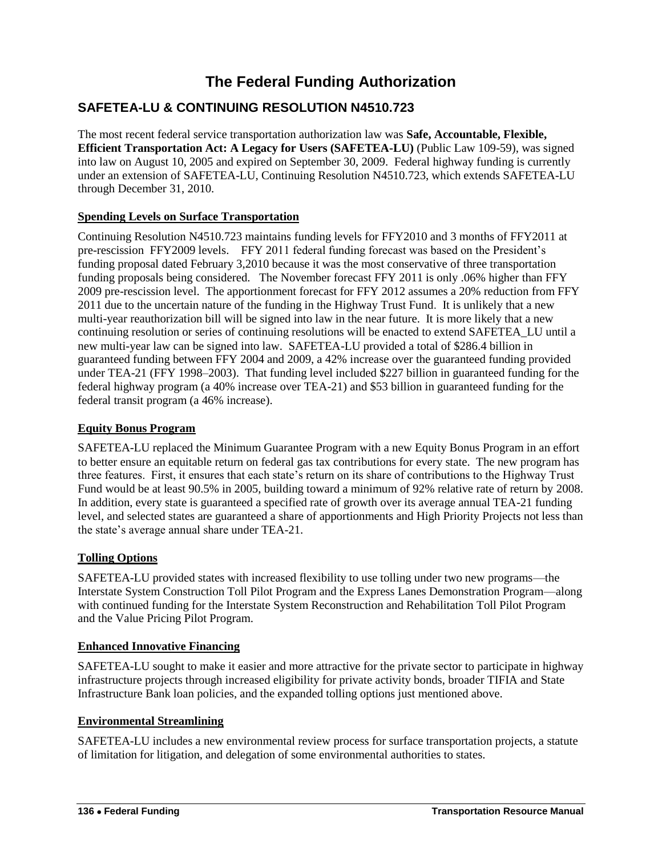## **The Federal Funding Authorization**

## <span id="page-5-1"></span><span id="page-5-0"></span>**SAFETEA-LU & CONTINUING RESOLUTION N4510.723**

The most recent federal service transportation authorization law was **Safe, Accountable, Flexible, Efficient Transportation Act: A Legacy for Users (SAFETEA-LU)** (Public Law 109-59), was signed into law on August 10, 2005 and expired on September 30, 2009. Federal highway funding is currently under an extension of SAFETEA-LU, Continuing Resolution N4510.723, which extends SAFETEA-LU through December 31, 2010.

## **Spending Levels on Surface Transportation**

Continuing Resolution N4510.723 maintains funding levels for FFY2010 and 3 months of FFY2011 at pre-rescission FFY2009 levels. FFY 2011 federal funding forecast was based on the President's funding proposal dated February 3,2010 because it was the most conservative of three transportation funding proposals being considered. The November forecast FFY 2011 is only .06% higher than FFY 2009 pre-rescission level. The apportionment forecast for FFY 2012 assumes a 20% reduction from FFY 2011 due to the uncertain nature of the funding in the Highway Trust Fund. It is unlikely that a new multi-year reauthorization bill will be signed into law in the near future. It is more likely that a new continuing resolution or series of continuing resolutions will be enacted to extend SAFETEA\_LU until a new multi-year law can be signed into law. SAFETEA-LU provided a total of \$286.4 billion in guaranteed funding between FFY 2004 and 2009, a 42% increase over the guaranteed funding provided under TEA-21 (FFY 1998–2003). That funding level included \$227 billion in guaranteed funding for the federal highway program (a 40% increase over TEA-21) and \$53 billion in guaranteed funding for the federal transit program (a 46% increase).

#### **Equity Bonus Program**

SAFETEA-LU replaced the Minimum Guarantee Program with a new Equity Bonus Program in an effort to better ensure an equitable return on federal gas tax contributions for every state. The new program has three features. First, it ensures that each state's return on its share of contributions to the Highway Trust Fund would be at least 90.5% in 2005, building toward a minimum of 92% relative rate of return by 2008. In addition, every state is guaranteed a specified rate of growth over its average annual TEA-21 funding level, and selected states are guaranteed a share of apportionments and High Priority Projects not less than the state's average annual share under TEA-21.

#### **Tolling Options**

SAFETEA-LU provided states with increased flexibility to use tolling under two new programs—the Interstate System Construction Toll Pilot Program and the Express Lanes Demonstration Program—along with continued funding for the Interstate System Reconstruction and Rehabilitation Toll Pilot Program and the Value Pricing Pilot Program.

#### **Enhanced Innovative Financing**

SAFETEA-LU sought to make it easier and more attractive for the private sector to participate in highway infrastructure projects through increased eligibility for private activity bonds, broader TIFIA and State Infrastructure Bank loan policies, and the expanded tolling options just mentioned above.

#### **Environmental Streamlining**

SAFETEA-LU includes a new environmental review process for surface transportation projects, a statute of limitation for litigation, and delegation of some environmental authorities to states.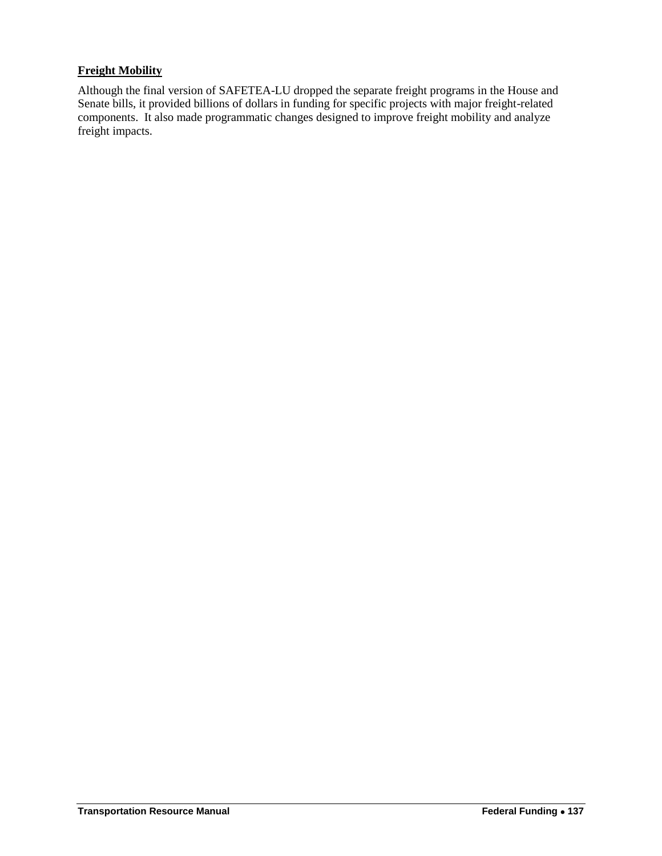## **Freight Mobility**

Although the final version of SAFETEA-LU dropped the separate freight programs in the House and Senate bills, it provided billions of dollars in funding for specific projects with major freight-related components. It also made programmatic changes designed to improve freight mobility and analyze freight impacts.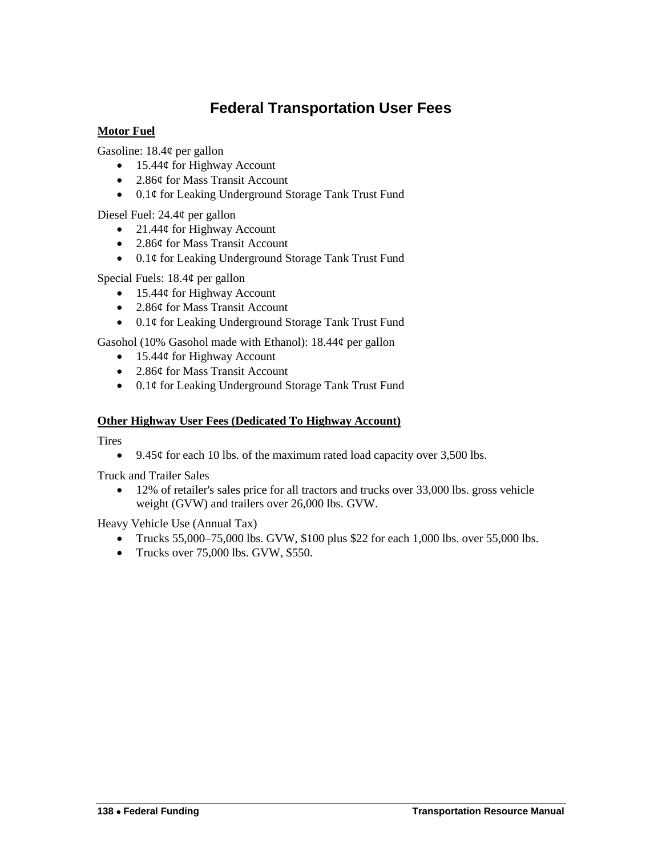## **Federal Transportation User Fees**

## <span id="page-7-0"></span>**Motor Fuel**

Gasoline: 18.4¢ per gallon

- $\bullet$  15.44¢ for Highway Account
- 2.86¢ for Mass Transit Account
- 0.1¢ for Leaking Underground Storage Tank Trust Fund

Diesel Fuel: 24.4¢ per gallon

- 21.44¢ for Highway Account
- 2.86¢ for Mass Transit Account
- 0.1¢ for Leaking Underground Storage Tank Trust Fund

Special Fuels: 18.4¢ per gallon

- $\bullet$  15.44¢ for Highway Account
- 2.86¢ for Mass Transit Account
- 0.1¢ for Leaking Underground Storage Tank Trust Fund

Gasohol (10% Gasohol made with Ethanol):  $18.44¢$  per gallon

- $\bullet$  15.44¢ for Highway Account
- 2.86¢ for Mass Transit Account
- 0.1¢ for Leaking Underground Storage Tank Trust Fund

## **Other Highway User Fees (Dedicated To Highway Account)**

**Tires** 

• 9.45 $\phi$  for each 10 lbs. of the maximum rated load capacity over 3,500 lbs.

Truck and Trailer Sales

 12% of retailer's sales price for all tractors and trucks over 33,000 lbs. gross vehicle weight (GVW) and trailers over 26,000 lbs. GVW.

Heavy Vehicle Use (Annual Tax)

- Trucks 55,000–75,000 lbs. GVW, \$100 plus \$22 for each 1,000 lbs. over 55,000 lbs.
- Trucks over  $75,000$  lbs. GVW, \$550.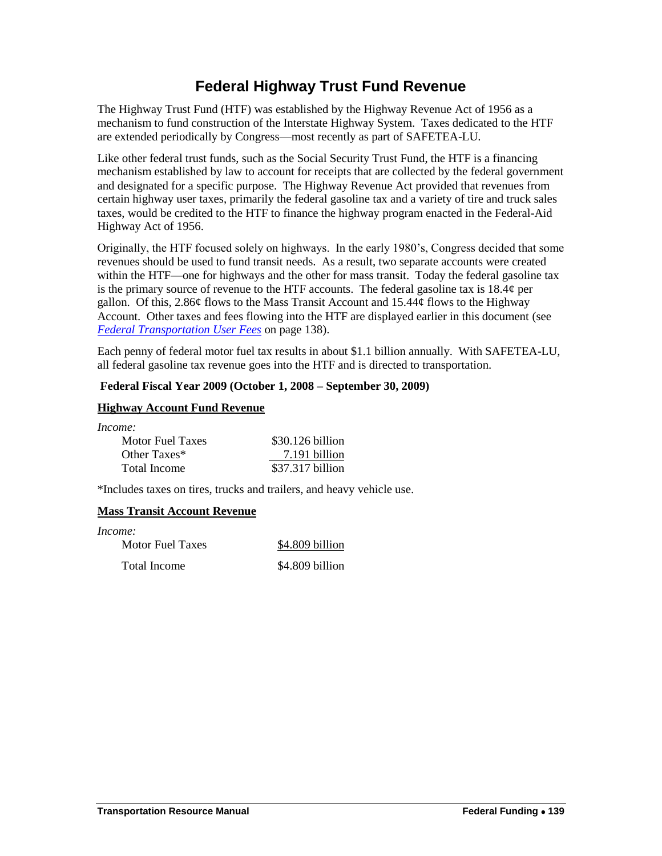## **Federal Highway Trust Fund Revenue**

<span id="page-8-0"></span>The Highway Trust Fund (HTF) was established by the Highway Revenue Act of 1956 as a mechanism to fund construction of the Interstate Highway System. Taxes dedicated to the HTF are extended periodically by Congress—most recently as part of SAFETEA-LU.

Like other federal trust funds, such as the Social Security Trust Fund, the HTF is a financing mechanism established by law to account for receipts that are collected by the federal government and designated for a specific purpose. The Highway Revenue Act provided that revenues from certain highway user taxes, primarily the federal gasoline tax and a variety of tire and truck sales taxes, would be credited to the HTF to finance the highway program enacted in the Federal-Aid Highway Act of 1956.

Originally, the HTF focused solely on highways. In the early 1980's, Congress decided that some revenues should be used to fund transit needs. As a result, two separate accounts were created within the HTF—one for highways and the other for mass transit. Today the federal gasoline tax is the primary source of revenue to the HTF accounts. The federal gasoline tax is 18.4¢ per gallon. Of this, 2.86 $\phi$  flows to the Mass Transit Account and 15.44 $\phi$  flows to the Highway Account. Other taxes and fees flowing into the HTF are displayed earlier in this document (see *[Federal Transportation User Fees](file:///Y:/Trans%20Res%20Manual/Transportation%20Resource%20Manual%202011/Master%20&%20subdouments/FF%20-%20Federal%20Highway%20Trust%20Fund%20Revenue_updated.docx%23_Federal_Transportation_User_Fees)* on page 138).

Each penny of federal motor fuel tax results in about \$1.1 billion annually. With SAFETEA-LU, all federal gasoline tax revenue goes into the HTF and is directed to transportation.

## **Federal Fiscal Year 2009 (October 1, 2008 – September 30, 2009)**

#### **Highway Account Fund Revenue**

*Income:*

| <b>Motor Fuel Taxes</b> | $$30.126$ billion |
|-------------------------|-------------------|
| Other Taxes*            | 7.191 billion     |
| Total Income            | \$37.317 billion  |

\*Includes taxes on tires, trucks and trailers, and heavy vehicle use.

## **Mass Transit Account Revenue**

*Income:* Motor Fuel Taxes \$4.809 billion Total Income \$4.809 billion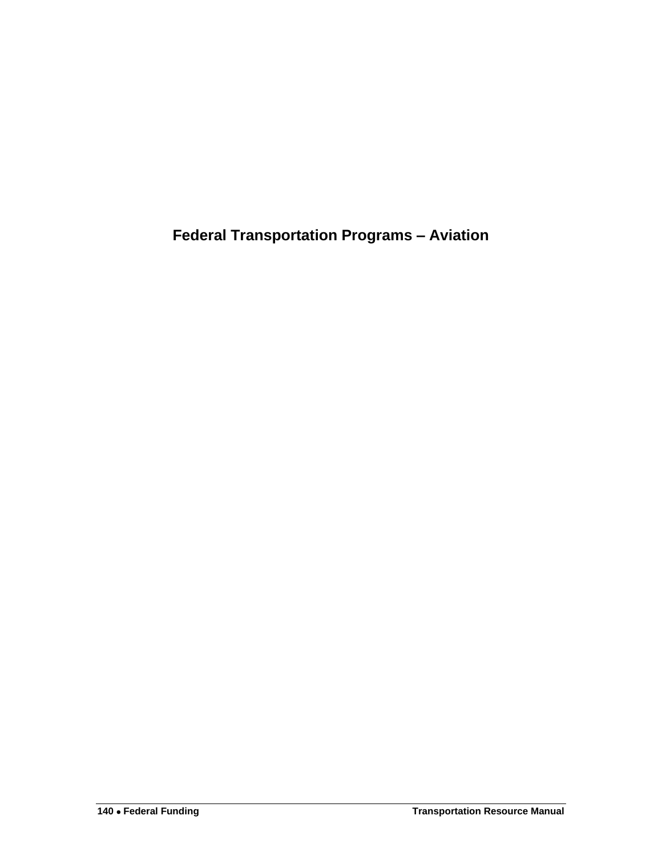<span id="page-9-0"></span>**Federal Transportation Programs – Aviation**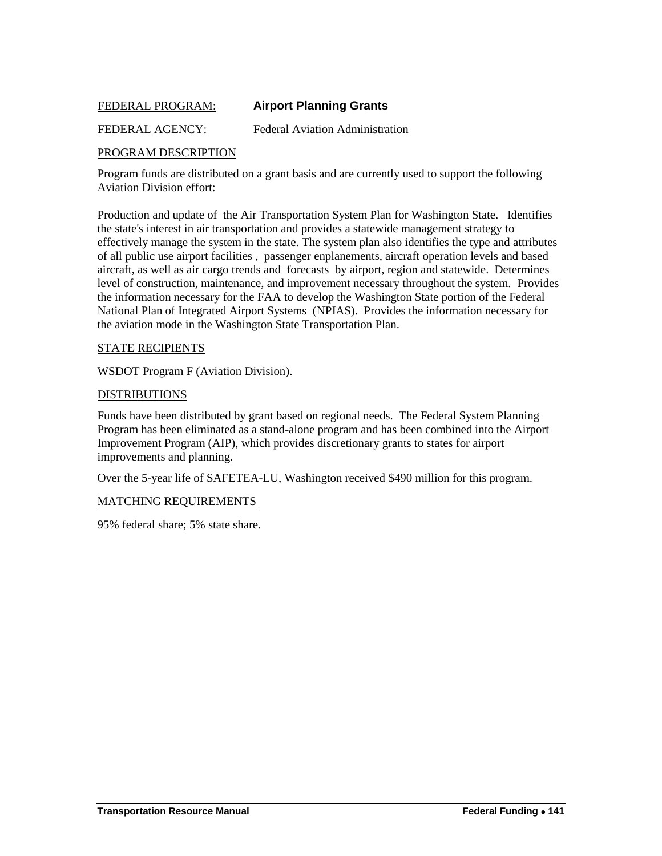## <span id="page-10-0"></span>FEDERAL PROGRAM: **Airport Planning Grants**

#### FEDERAL AGENCY: Federal Aviation Administration

#### PROGRAM DESCRIPTION

Program funds are distributed on a grant basis and are currently used to support the following Aviation Division effort:

Production and update of the Air Transportation System Plan for Washington State. Identifies the state's interest in air transportation and provides a statewide management strategy to effectively manage the system in the state. The system plan also identifies the type and attributes of all public use airport facilities , passenger enplanements, aircraft operation levels and based aircraft, as well as air cargo trends and forecasts by airport, region and statewide. Determines level of construction, maintenance, and improvement necessary throughout the system. Provides the information necessary for the FAA to develop the Washington State portion of the Federal National Plan of Integrated Airport Systems (NPIAS). Provides the information necessary for the aviation mode in the Washington State Transportation Plan.

#### STATE RECIPIENTS

WSDOT Program F (Aviation Division).

#### DISTRIBUTIONS

Funds have been distributed by grant based on regional needs. The Federal System Planning Program has been eliminated as a stand-alone program and has been combined into the Airport Improvement Program (AIP), which provides discretionary grants to states for airport improvements and planning.

Over the 5-year life of SAFETEA-LU, Washington received \$490 million for this program.

#### MATCHING REQUIREMENTS

95% federal share; 5% state share.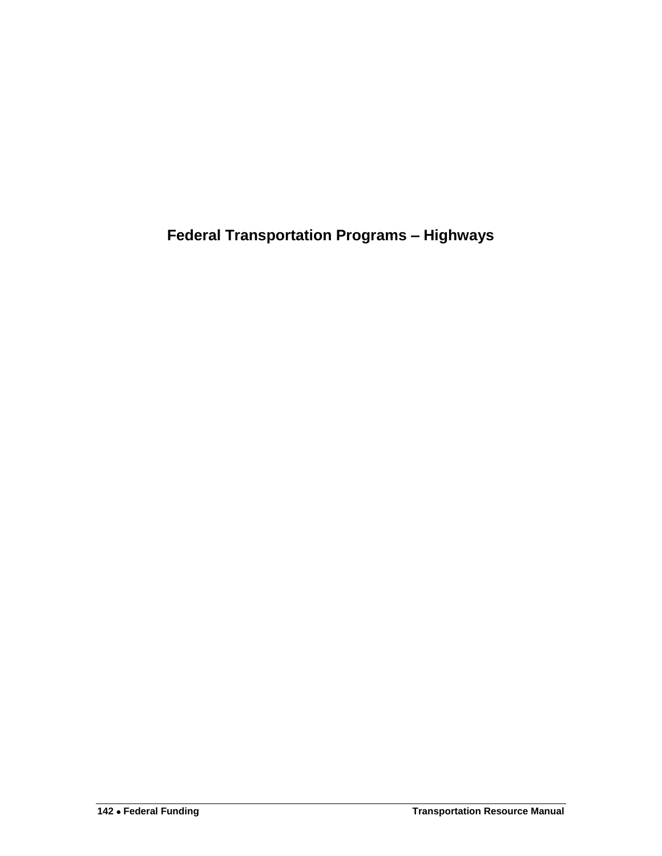<span id="page-11-0"></span>**Federal Transportation Programs – Highways**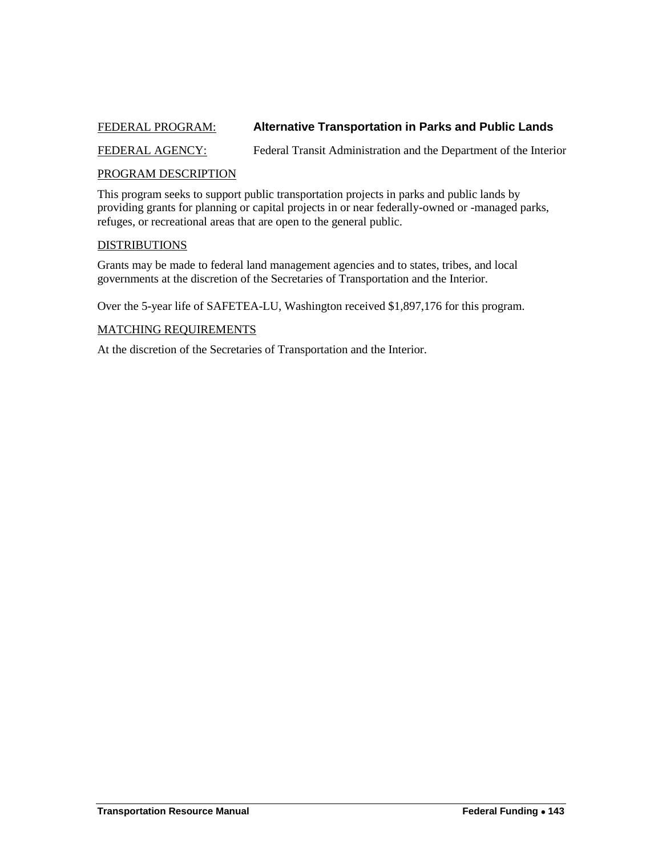## <span id="page-12-0"></span>FEDERAL PROGRAM: **Alternative Transportation in Parks and Public Lands**

FEDERAL AGENCY: Federal Transit Administration and the Department of the Interior

#### PROGRAM DESCRIPTION

This program seeks to support public transportation projects in parks and public lands by providing grants for planning or capital projects in or near federally-owned or -managed parks, refuges, or recreational areas that are open to the general public.

## DISTRIBUTIONS

Grants may be made to federal land management agencies and to states, tribes, and local governments at the discretion of the Secretaries of Transportation and the Interior.

Over the 5-year life of SAFETEA-LU, Washington received \$1,897,176 for this program.

#### MATCHING REQUIREMENTS

At the discretion of the Secretaries of Transportation and the Interior.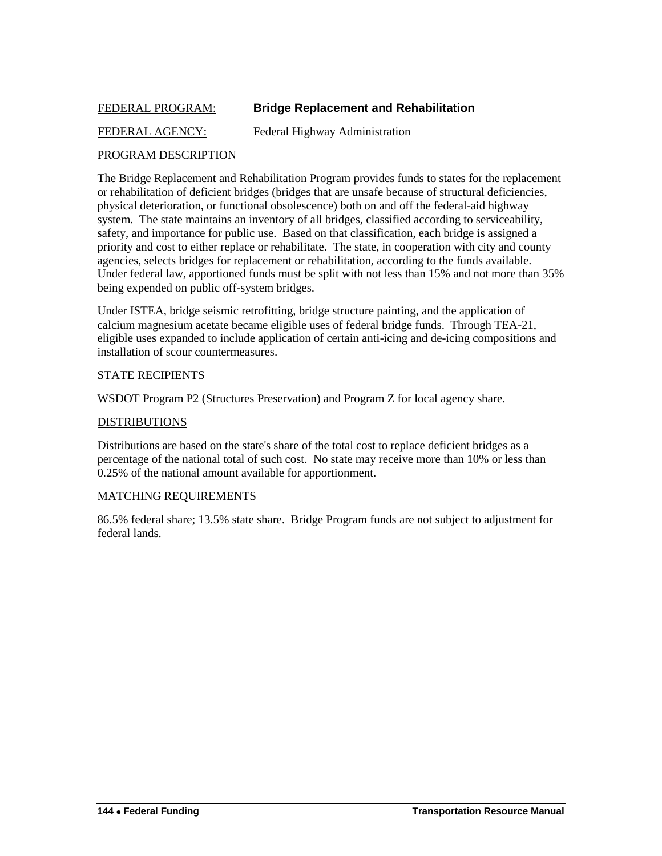## <span id="page-13-0"></span>FEDERAL PROGRAM: **Bridge Replacement and Rehabilitation**

## FEDERAL AGENCY: Federal Highway Administration

#### PROGRAM DESCRIPTION

The Bridge Replacement and Rehabilitation Program provides funds to states for the replacement or rehabilitation of deficient bridges (bridges that are unsafe because of structural deficiencies, physical deterioration, or functional obsolescence) both on and off the federal-aid highway system. The state maintains an inventory of all bridges, classified according to serviceability, safety, and importance for public use. Based on that classification, each bridge is assigned a priority and cost to either replace or rehabilitate. The state, in cooperation with city and county agencies, selects bridges for replacement or rehabilitation, according to the funds available. Under federal law, apportioned funds must be split with not less than 15% and not more than 35% being expended on public off-system bridges.

Under ISTEA, bridge seismic retrofitting, bridge structure painting, and the application of calcium magnesium acetate became eligible uses of federal bridge funds. Through TEA-21, eligible uses expanded to include application of certain anti-icing and de-icing compositions and installation of scour countermeasures.

#### STATE RECIPIENTS

WSDOT Program P2 (Structures Preservation) and Program Z for local agency share.

#### DISTRIBUTIONS

Distributions are based on the state's share of the total cost to replace deficient bridges as a percentage of the national total of such cost. No state may receive more than 10% or less than 0.25% of the national amount available for apportionment.

#### MATCHING REQUIREMENTS

86.5% federal share; 13.5% state share. Bridge Program funds are not subject to adjustment for federal lands.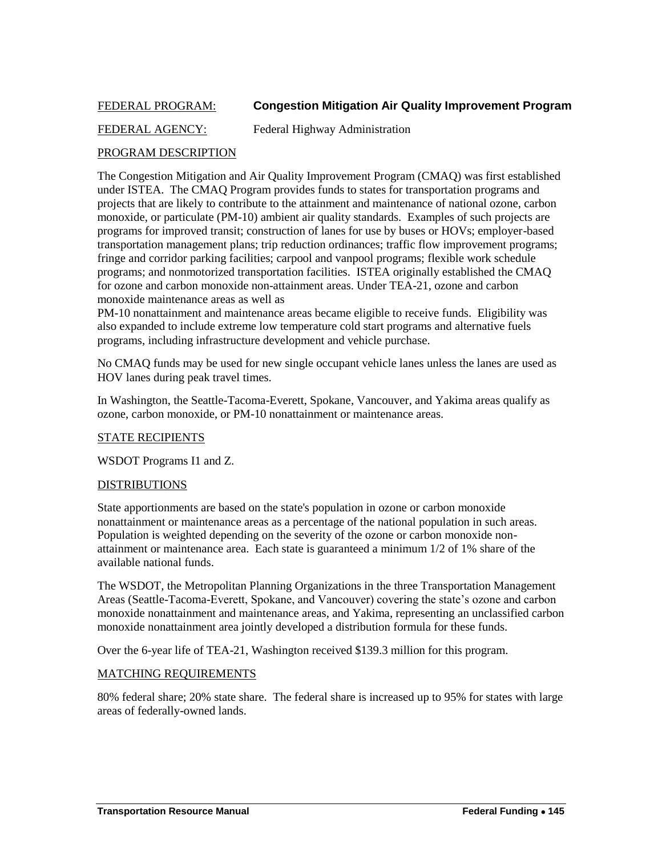## <span id="page-14-0"></span>FEDERAL PROGRAM: **Congestion Mitigation Air Quality Improvement Program**

## FEDERAL AGENCY: Federal Highway Administration

#### PROGRAM DESCRIPTION

The Congestion Mitigation and Air Quality Improvement Program (CMAQ) was first established under ISTEA. The CMAQ Program provides funds to states for transportation programs and projects that are likely to contribute to the attainment and maintenance of national ozone, carbon monoxide, or particulate (PM-10) ambient air quality standards. Examples of such projects are programs for improved transit; construction of lanes for use by buses or HOVs; employer-based transportation management plans; trip reduction ordinances; traffic flow improvement programs; fringe and corridor parking facilities; carpool and vanpool programs; flexible work schedule programs; and nonmotorized transportation facilities. ISTEA originally established the CMAQ for ozone and carbon monoxide non-attainment areas. Under TEA-21, ozone and carbon monoxide maintenance areas as well as

PM-10 nonattainment and maintenance areas became eligible to receive funds. Eligibility was also expanded to include extreme low temperature cold start programs and alternative fuels programs, including infrastructure development and vehicle purchase.

No CMAQ funds may be used for new single occupant vehicle lanes unless the lanes are used as HOV lanes during peak travel times.

In Washington, the Seattle-Tacoma-Everett, Spokane, Vancouver, and Yakima areas qualify as ozone, carbon monoxide, or PM-10 nonattainment or maintenance areas.

#### STATE RECIPIENTS

WSDOT Programs I1 and Z.

#### DISTRIBUTIONS

State apportionments are based on the state's population in ozone or carbon monoxide nonattainment or maintenance areas as a percentage of the national population in such areas. Population is weighted depending on the severity of the ozone or carbon monoxide nonattainment or maintenance area. Each state is guaranteed a minimum 1/2 of 1% share of the available national funds.

The WSDOT, the Metropolitan Planning Organizations in the three Transportation Management Areas (Seattle-Tacoma-Everett, Spokane, and Vancouver) covering the state's ozone and carbon monoxide nonattainment and maintenance areas, and Yakima, representing an unclassified carbon monoxide nonattainment area jointly developed a distribution formula for these funds.

Over the 6-year life of TEA-21, Washington received \$139.3 million for this program.

#### MATCHING REQUIREMENTS

80% federal share; 20% state share. The federal share is increased up to 95% for states with large areas of federally-owned lands.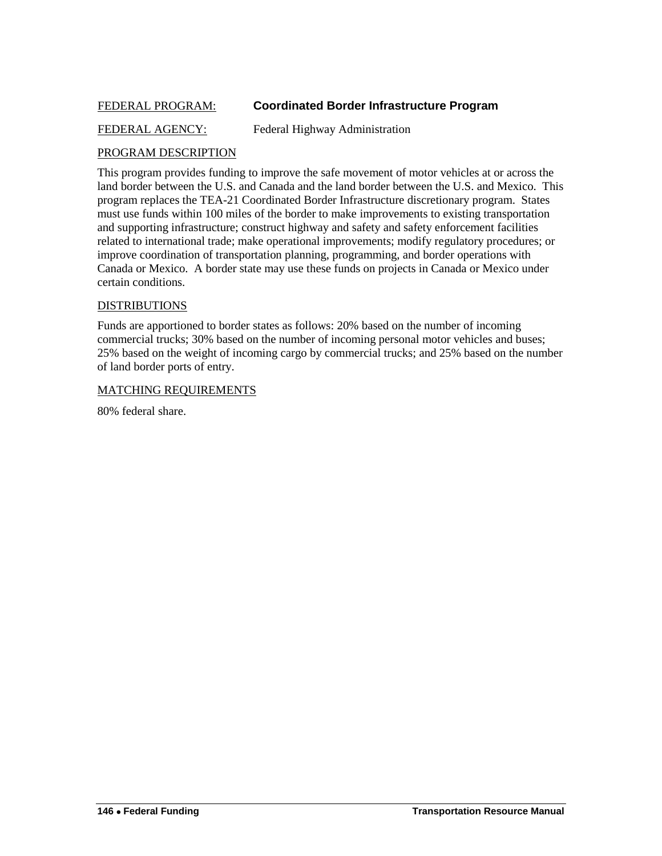## <span id="page-15-0"></span>FEDERAL PROGRAM: **Coordinated Border Infrastructure Program**

## FEDERAL AGENCY: Federal Highway Administration

#### PROGRAM DESCRIPTION

This program provides funding to improve the safe movement of motor vehicles at or across the land border between the U.S. and Canada and the land border between the U.S. and Mexico. This program replaces the TEA-21 Coordinated Border Infrastructure discretionary program. States must use funds within 100 miles of the border to make improvements to existing transportation and supporting infrastructure; construct highway and safety and safety enforcement facilities related to international trade; make operational improvements; modify regulatory procedures; or improve coordination of transportation planning, programming, and border operations with Canada or Mexico. A border state may use these funds on projects in Canada or Mexico under certain conditions.

#### DISTRIBUTIONS

Funds are apportioned to border states as follows: 20% based on the number of incoming commercial trucks; 30% based on the number of incoming personal motor vehicles and buses; 25% based on the weight of incoming cargo by commercial trucks; and 25% based on the number of land border ports of entry.

#### MATCHING REQUIREMENTS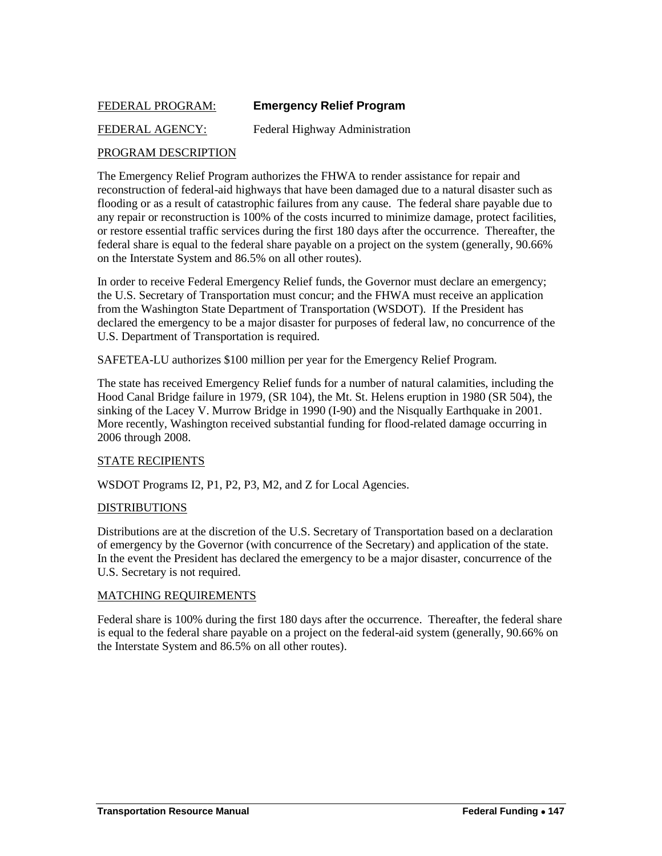## <span id="page-16-0"></span>FEDERAL PROGRAM: **Emergency Relief Program**

## FEDERAL AGENCY: Federal Highway Administration

## PROGRAM DESCRIPTION

The Emergency Relief Program authorizes the FHWA to render assistance for repair and reconstruction of federal-aid highways that have been damaged due to a natural disaster such as flooding or as a result of catastrophic failures from any cause. The federal share payable due to any repair or reconstruction is 100% of the costs incurred to minimize damage, protect facilities, or restore essential traffic services during the first 180 days after the occurrence. Thereafter, the federal share is equal to the federal share payable on a project on the system (generally, 90.66% on the Interstate System and 86.5% on all other routes).

In order to receive Federal Emergency Relief funds, the Governor must declare an emergency; the U.S. Secretary of Transportation must concur; and the FHWA must receive an application from the Washington State Department of Transportation (WSDOT). If the President has declared the emergency to be a major disaster for purposes of federal law, no concurrence of the U.S. Department of Transportation is required.

SAFETEA-LU authorizes \$100 million per year for the Emergency Relief Program.

The state has received Emergency Relief funds for a number of natural calamities, including the Hood Canal Bridge failure in 1979, (SR 104), the Mt. St. Helens eruption in 1980 (SR 504), the sinking of the Lacey V. Murrow Bridge in 1990 (I-90) and the Nisqually Earthquake in 2001. More recently, Washington received substantial funding for flood-related damage occurring in 2006 through 2008.

#### STATE RECIPIENTS

WSDOT Programs I2, P1, P2, P3, M2, and Z for Local Agencies.

#### DISTRIBUTIONS

Distributions are at the discretion of the U.S. Secretary of Transportation based on a declaration of emergency by the Governor (with concurrence of the Secretary) and application of the state. In the event the President has declared the emergency to be a major disaster, concurrence of the U.S. Secretary is not required.

#### MATCHING REQUIREMENTS

Federal share is 100% during the first 180 days after the occurrence. Thereafter, the federal share is equal to the federal share payable on a project on the federal-aid system (generally, 90.66% on the Interstate System and 86.5% on all other routes).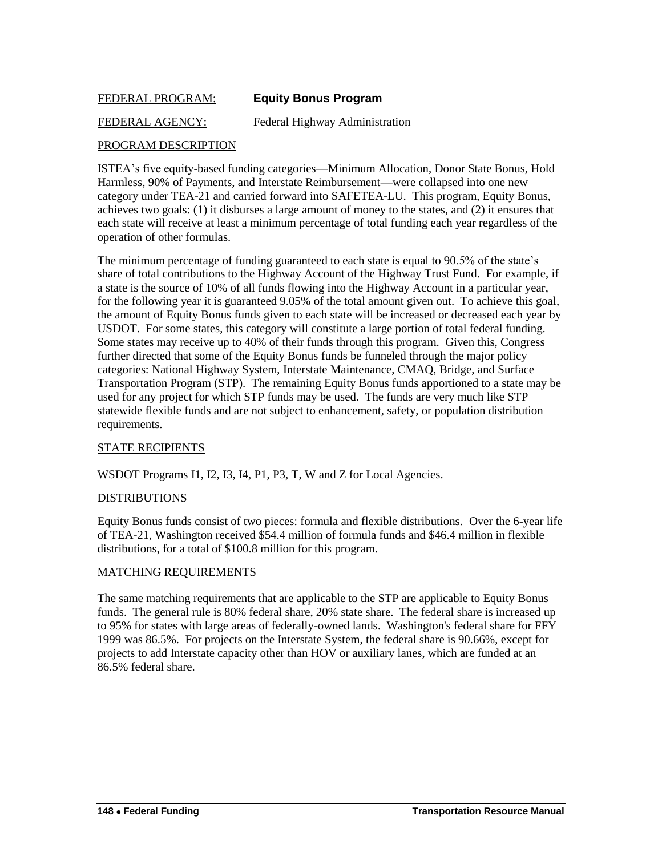## <span id="page-17-0"></span>FEDERAL PROGRAM: **Equity Bonus Program**

FEDERAL AGENCY: Federal Highway Administration

## PROGRAM DESCRIPTION

ISTEA's five equity-based funding categories—Minimum Allocation, Donor State Bonus, Hold Harmless, 90% of Payments, and Interstate Reimbursement—were collapsed into one new category under TEA-21 and carried forward into SAFETEA-LU. This program, Equity Bonus, achieves two goals: (1) it disburses a large amount of money to the states, and (2) it ensures that each state will receive at least a minimum percentage of total funding each year regardless of the operation of other formulas.

The minimum percentage of funding guaranteed to each state is equal to 90.5% of the state's share of total contributions to the Highway Account of the Highway Trust Fund. For example, if a state is the source of 10% of all funds flowing into the Highway Account in a particular year, for the following year it is guaranteed 9.05% of the total amount given out. To achieve this goal, the amount of Equity Bonus funds given to each state will be increased or decreased each year by USDOT. For some states, this category will constitute a large portion of total federal funding. Some states may receive up to 40% of their funds through this program. Given this, Congress further directed that some of the Equity Bonus funds be funneled through the major policy categories: National Highway System, Interstate Maintenance, CMAQ, Bridge, and Surface Transportation Program (STP). The remaining Equity Bonus funds apportioned to a state may be used for any project for which STP funds may be used. The funds are very much like STP statewide flexible funds and are not subject to enhancement, safety, or population distribution requirements.

#### STATE RECIPIENTS

WSDOT Programs I1, I2, I3, I4, P1, P3, T, W and Z for Local Agencies.

#### DISTRIBUTIONS

Equity Bonus funds consist of two pieces: formula and flexible distributions. Over the 6-year life of TEA-21, Washington received \$54.4 million of formula funds and \$46.4 million in flexible distributions, for a total of \$100.8 million for this program.

#### MATCHING REQUIREMENTS

The same matching requirements that are applicable to the STP are applicable to Equity Bonus funds. The general rule is 80% federal share, 20% state share. The federal share is increased up to 95% for states with large areas of federally-owned lands. Washington's federal share for FFY 1999 was 86.5%. For projects on the Interstate System, the federal share is 90.66%, except for projects to add Interstate capacity other than HOV or auxiliary lanes, which are funded at an 86.5% federal share.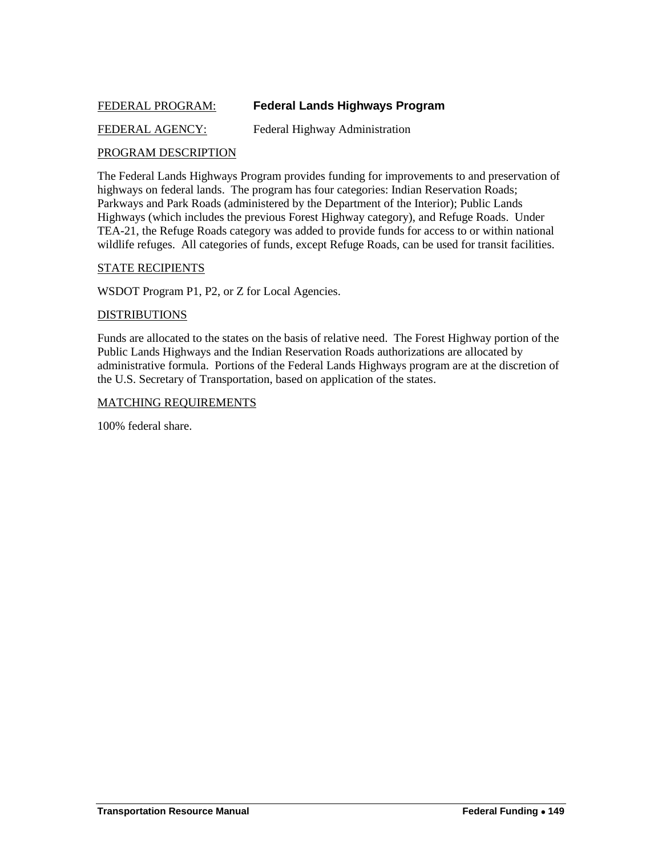## <span id="page-18-0"></span>FEDERAL PROGRAM: **Federal Lands Highways Program**

## FEDERAL AGENCY: Federal Highway Administration

## PROGRAM DESCRIPTION

The Federal Lands Highways Program provides funding for improvements to and preservation of highways on federal lands. The program has four categories: Indian Reservation Roads; Parkways and Park Roads (administered by the Department of the Interior); Public Lands Highways (which includes the previous Forest Highway category), and Refuge Roads. Under TEA-21, the Refuge Roads category was added to provide funds for access to or within national wildlife refuges. All categories of funds, except Refuge Roads, can be used for transit facilities.

#### STATE RECIPIENTS

WSDOT Program P1, P2, or Z for Local Agencies.

#### DISTRIBUTIONS

Funds are allocated to the states on the basis of relative need. The Forest Highway portion of the Public Lands Highways and the Indian Reservation Roads authorizations are allocated by administrative formula. Portions of the Federal Lands Highways program are at the discretion of the U.S. Secretary of Transportation, based on application of the states.

#### MATCHING REQUIREMENTS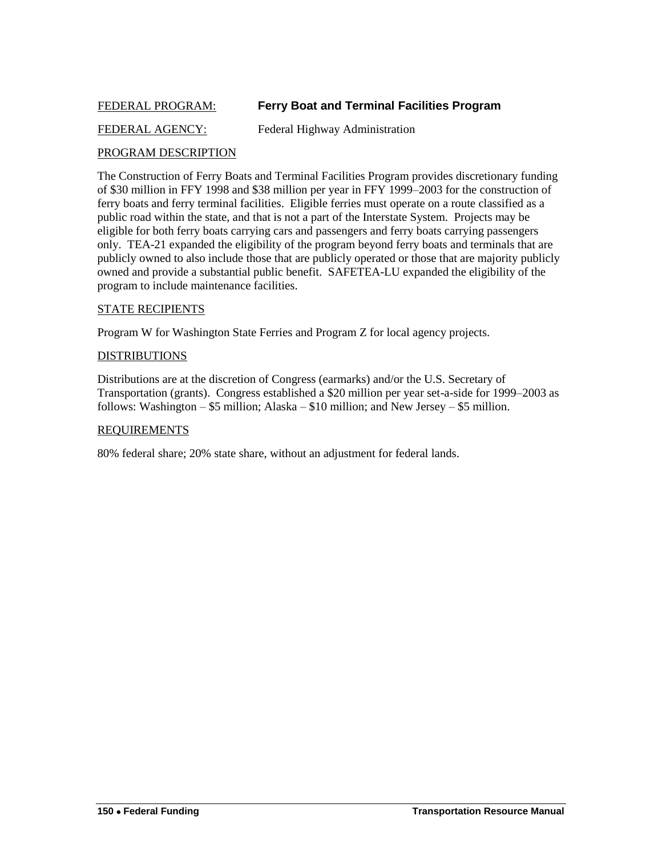## <span id="page-19-0"></span>FEDERAL PROGRAM: **Ferry Boat and Terminal Facilities Program**

## FEDERAL AGENCY: Federal Highway Administration

#### PROGRAM DESCRIPTION

The Construction of Ferry Boats and Terminal Facilities Program provides discretionary funding of \$30 million in FFY 1998 and \$38 million per year in FFY 1999–2003 for the construction of ferry boats and ferry terminal facilities. Eligible ferries must operate on a route classified as a public road within the state, and that is not a part of the Interstate System. Projects may be eligible for both ferry boats carrying cars and passengers and ferry boats carrying passengers only. TEA-21 expanded the eligibility of the program beyond ferry boats and terminals that are publicly owned to also include those that are publicly operated or those that are majority publicly owned and provide a substantial public benefit. SAFETEA-LU expanded the eligibility of the program to include maintenance facilities.

#### STATE RECIPIENTS

Program W for Washington State Ferries and Program Z for local agency projects.

#### DISTRIBUTIONS

Distributions are at the discretion of Congress (earmarks) and/or the U.S. Secretary of Transportation (grants). Congress established a \$20 million per year set-a-side for 1999–2003 as follows: Washington  $-$  \$5 million; Alaska  $-$  \$10 million; and New Jersey  $-$  \$5 million.

#### REQUIREMENTS

80% federal share; 20% state share, without an adjustment for federal lands.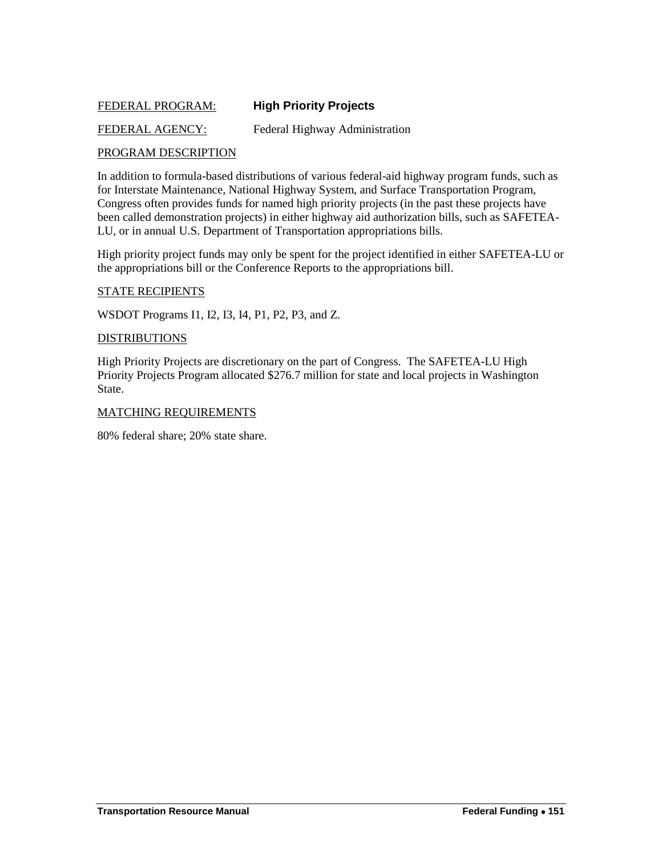## <span id="page-20-0"></span>FEDERAL PROGRAM: **High Priority Projects**

#### FEDERAL AGENCY: Federal Highway Administration

#### PROGRAM DESCRIPTION

In addition to formula-based distributions of various federal-aid highway program funds, such as for Interstate Maintenance, National Highway System, and Surface Transportation Program, Congress often provides funds for named high priority projects (in the past these projects have been called demonstration projects) in either highway aid authorization bills, such as SAFETEA-LU, or in annual U.S. Department of Transportation appropriations bills.

High priority project funds may only be spent for the project identified in either SAFETEA-LU or the appropriations bill or the Conference Reports to the appropriations bill.

#### STATE RECIPIENTS

WSDOT Programs I1, I2, I3, I4, P1, P2, P3, and Z.

#### **DISTRIBUTIONS**

High Priority Projects are discretionary on the part of Congress. The SAFETEA-LU High Priority Projects Program allocated \$276.7 million for state and local projects in Washington State.

#### MATCHING REQUIREMENTS

80% federal share; 20% state share.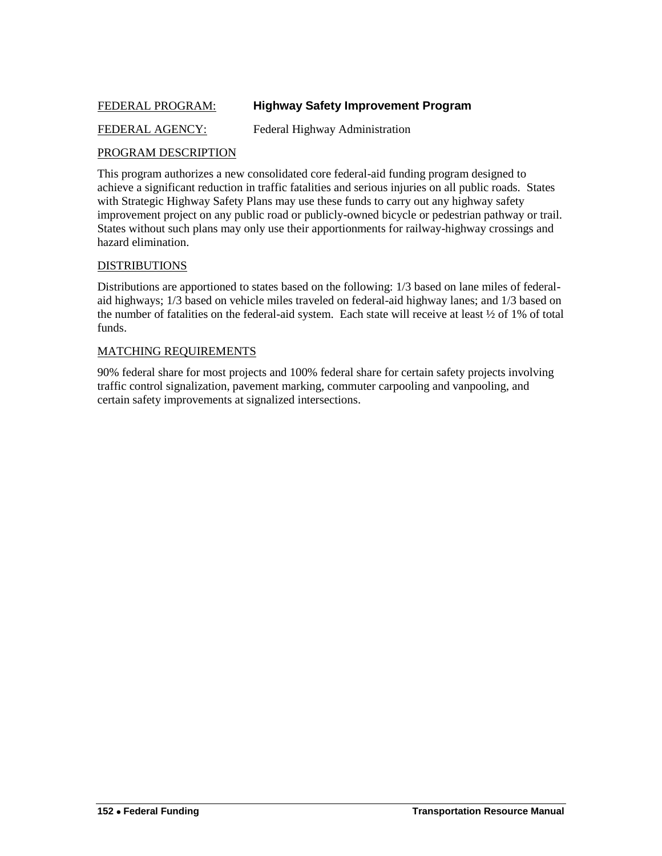## <span id="page-21-0"></span>FEDERAL PROGRAM: **Highway Safety Improvement Program**

## FEDERAL AGENCY: Federal Highway Administration

#### PROGRAM DESCRIPTION

This program authorizes a new consolidated core federal-aid funding program designed to achieve a significant reduction in traffic fatalities and serious injuries on all public roads. States with Strategic Highway Safety Plans may use these funds to carry out any highway safety improvement project on any public road or publicly-owned bicycle or pedestrian pathway or trail. States without such plans may only use their apportionments for railway-highway crossings and hazard elimination.

#### DISTRIBUTIONS

Distributions are apportioned to states based on the following: 1/3 based on lane miles of federalaid highways; 1/3 based on vehicle miles traveled on federal-aid highway lanes; and 1/3 based on the number of fatalities on the federal-aid system. Each state will receive at least ½ of 1% of total funds.

#### MATCHING REQUIREMENTS

90% federal share for most projects and 100% federal share for certain safety projects involving traffic control signalization, pavement marking, commuter carpooling and vanpooling, and certain safety improvements at signalized intersections.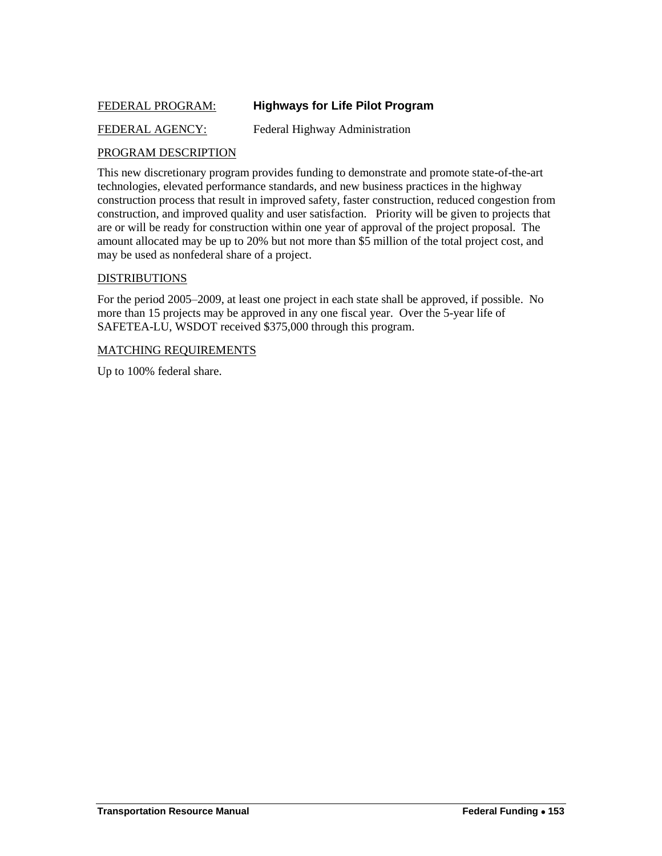## <span id="page-22-0"></span>FEDERAL PROGRAM: **Highways for Life Pilot Program**

## FEDERAL AGENCY: Federal Highway Administration

## PROGRAM DESCRIPTION

This new discretionary program provides funding to demonstrate and promote state-of-the-art technologies, elevated performance standards, and new business practices in the highway construction process that result in improved safety, faster construction, reduced congestion from construction, and improved quality and user satisfaction. Priority will be given to projects that are or will be ready for construction within one year of approval of the project proposal. The amount allocated may be up to 20% but not more than \$5 million of the total project cost, and may be used as nonfederal share of a project.

#### DISTRIBUTIONS

For the period 2005–2009, at least one project in each state shall be approved, if possible. No more than 15 projects may be approved in any one fiscal year. Over the 5-year life of SAFETEA-LU, WSDOT received \$375,000 through this program.

#### MATCHING REQUIREMENTS

Up to 100% federal share.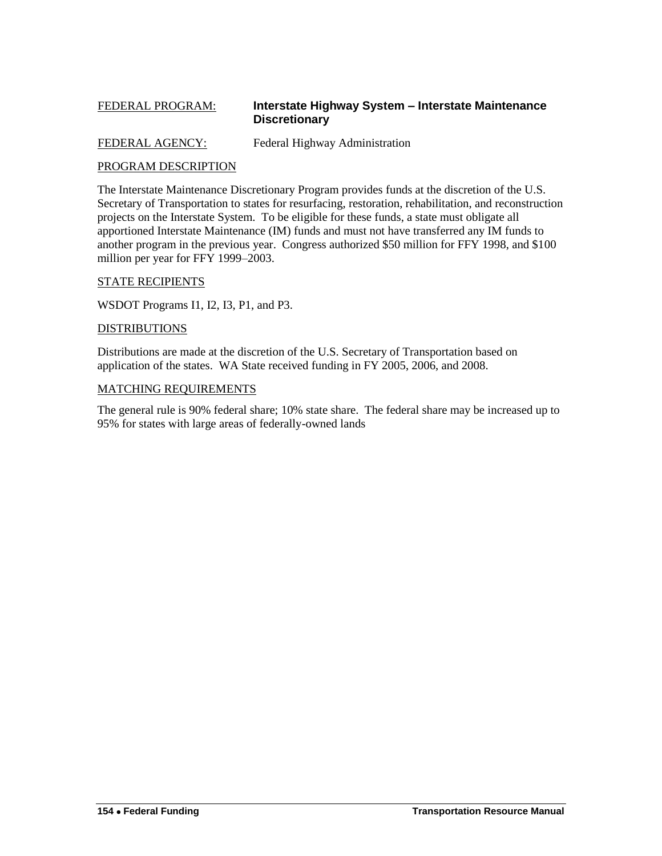## <span id="page-23-0"></span>FEDERAL PROGRAM: **Interstate Highway System – Interstate Maintenance Discretionary**

FEDERAL AGENCY: Federal Highway Administration

## PROGRAM DESCRIPTION

The Interstate Maintenance Discretionary Program provides funds at the discretion of the U.S. Secretary of Transportation to states for resurfacing, restoration, rehabilitation, and reconstruction projects on the Interstate System. To be eligible for these funds, a state must obligate all apportioned Interstate Maintenance (IM) funds and must not have transferred any IM funds to another program in the previous year. Congress authorized \$50 million for FFY 1998, and \$100 million per year for FFY 1999–2003.

#### STATE RECIPIENTS

WSDOT Programs I1, I2, I3, P1, and P3.

#### DISTRIBUTIONS

Distributions are made at the discretion of the U.S. Secretary of Transportation based on application of the states. WA State received funding in FY 2005, 2006, and 2008.

#### MATCHING REQUIREMENTS

The general rule is 90% federal share; 10% state share. The federal share may be increased up to 95% for states with large areas of federally-owned lands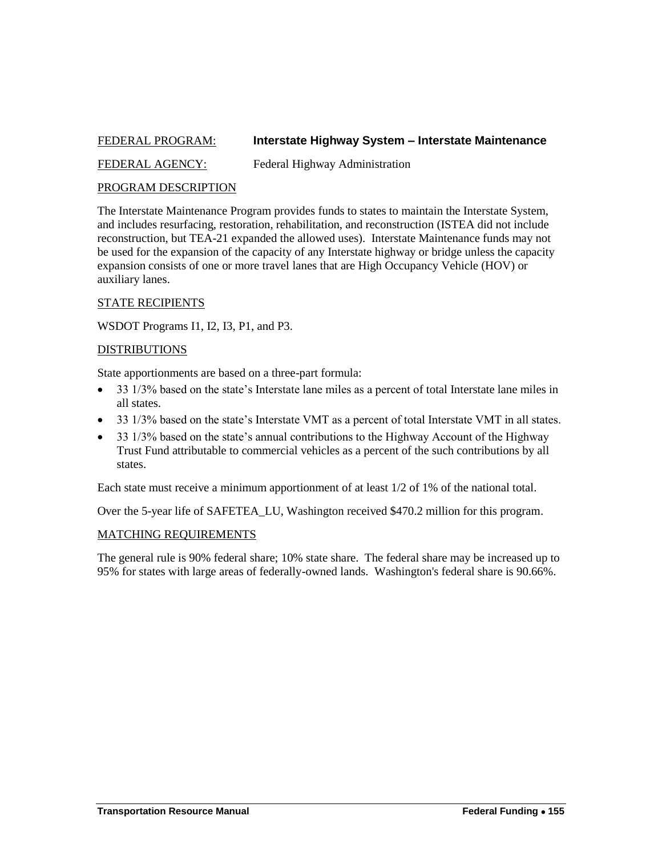## <span id="page-24-0"></span>FEDERAL PROGRAM: **Interstate Highway System – Interstate Maintenance**

FEDERAL AGENCY: Federal Highway Administration

## PROGRAM DESCRIPTION

The Interstate Maintenance Program provides funds to states to maintain the Interstate System, and includes resurfacing, restoration, rehabilitation, and reconstruction (ISTEA did not include reconstruction, but TEA-21 expanded the allowed uses). Interstate Maintenance funds may not be used for the expansion of the capacity of any Interstate highway or bridge unless the capacity expansion consists of one or more travel lanes that are High Occupancy Vehicle (HOV) or auxiliary lanes.

#### STATE RECIPIENTS

WSDOT Programs I1, I2, I3, P1, and P3.

#### DISTRIBUTIONS

State apportionments are based on a three-part formula:

- 33 1/3% based on the state's Interstate lane miles as a percent of total Interstate lane miles in all states.
- 33 1/3% based on the state's Interstate VMT as a percent of total Interstate VMT in all states.
- 33 1/3% based on the state's annual contributions to the Highway Account of the Highway Trust Fund attributable to commercial vehicles as a percent of the such contributions by all states.

Each state must receive a minimum apportionment of at least 1/2 of 1% of the national total.

Over the 5-year life of SAFETEA\_LU, Washington received \$470.2 million for this program.

#### MATCHING REQUIREMENTS

The general rule is 90% federal share; 10% state share. The federal share may be increased up to 95% for states with large areas of federally-owned lands. Washington's federal share is 90.66%.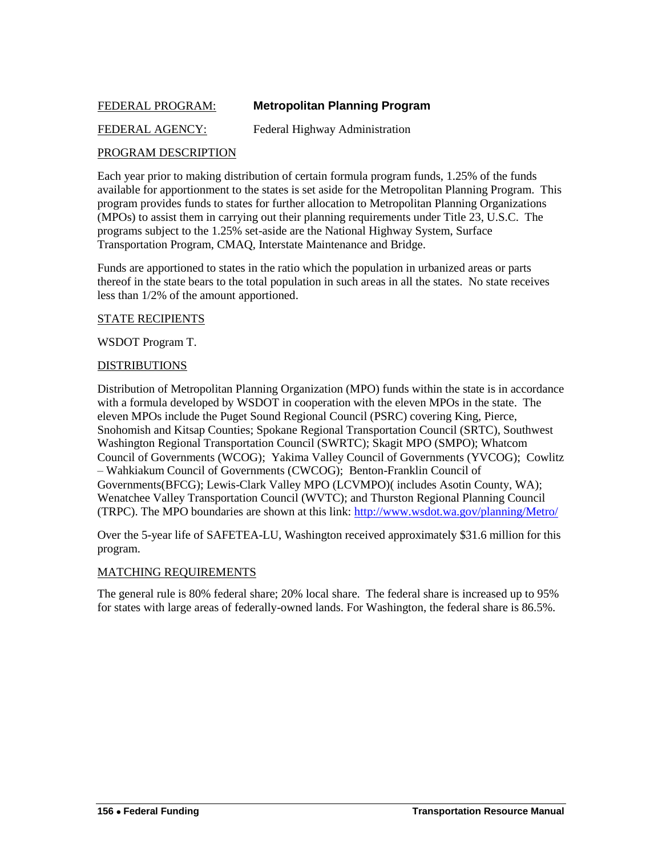## <span id="page-25-0"></span>FEDERAL PROGRAM: **Metropolitan Planning Program**

## FEDERAL AGENCY: Federal Highway Administration

## PROGRAM DESCRIPTION

Each year prior to making distribution of certain formula program funds, 1.25% of the funds available for apportionment to the states is set aside for the Metropolitan Planning Program. This program provides funds to states for further allocation to Metropolitan Planning Organizations (MPOs) to assist them in carrying out their planning requirements under Title 23, U.S.C. The programs subject to the 1.25% set-aside are the National Highway System, Surface Transportation Program, CMAQ, Interstate Maintenance and Bridge.

Funds are apportioned to states in the ratio which the population in urbanized areas or parts thereof in the state bears to the total population in such areas in all the states. No state receives less than 1/2% of the amount apportioned.

#### STATE RECIPIENTS

WSDOT Program T.

#### DISTRIBUTIONS

Distribution of Metropolitan Planning Organization (MPO) funds within the state is in accordance with a formula developed by WSDOT in cooperation with the eleven MPOs in the state. The eleven MPOs include the Puget Sound Regional Council (PSRC) covering King, Pierce, Snohomish and Kitsap Counties; Spokane Regional Transportation Council (SRTC), Southwest Washington Regional Transportation Council (SWRTC); Skagit MPO (SMPO); Whatcom Council of Governments (WCOG); Yakima Valley Council of Governments (YVCOG); Cowlitz – Wahkiakum Council of Governments (CWCOG); Benton-Franklin Council of Governments(BFCG); Lewis-Clark Valley MPO (LCVMPO)( includes Asotin County, WA); Wenatchee Valley Transportation Council (WVTC); and Thurston Regional Planning Council (TRPC). The MPO boundaries are shown at this link:<http://www.wsdot.wa.gov/planning/Metro/>

Over the 5-year life of SAFETEA-LU, Washington received approximately \$31.6 million for this program.

#### MATCHING REQUIREMENTS

The general rule is 80% federal share; 20% local share. The federal share is increased up to 95% for states with large areas of federally-owned lands. For Washington, the federal share is 86.5%.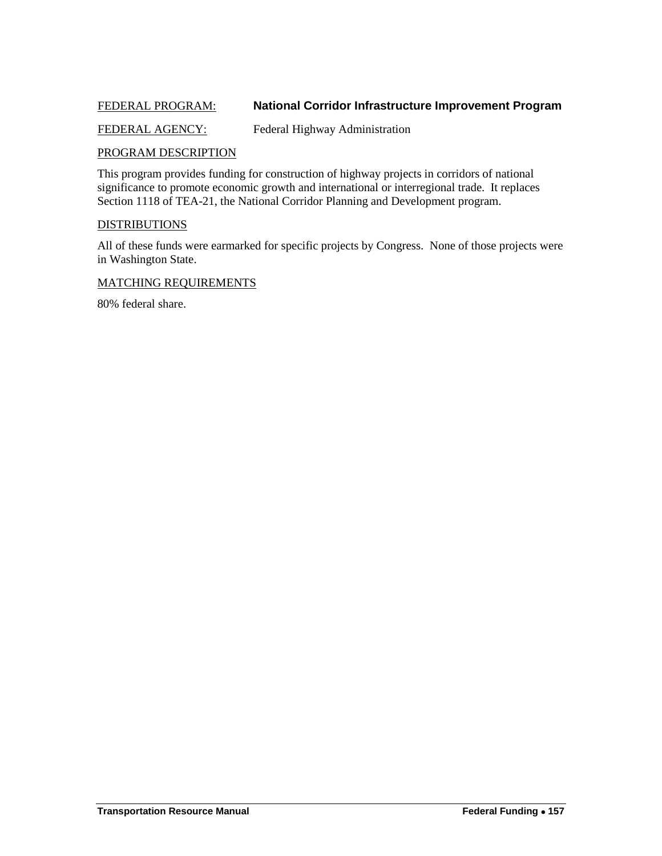## <span id="page-26-0"></span>FEDERAL PROGRAM: **National Corridor Infrastructure Improvement Program**

#### FEDERAL AGENCY: Federal Highway Administration

#### PROGRAM DESCRIPTION

This program provides funding for construction of highway projects in corridors of national significance to promote economic growth and international or interregional trade. It replaces Section 1118 of TEA-21, the National Corridor Planning and Development program.

#### **DISTRIBUTIONS**

All of these funds were earmarked for specific projects by Congress. None of those projects were in Washington State.

#### MATCHING REQUIREMENTS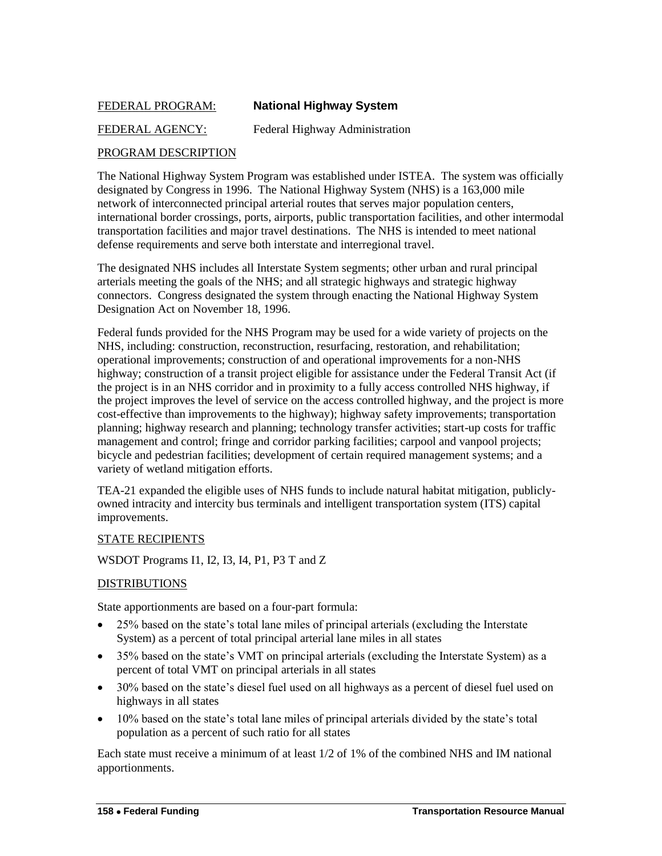## <span id="page-27-0"></span>FEDERAL PROGRAM: **National Highway System**

## FEDERAL AGENCY: Federal Highway Administration

## PROGRAM DESCRIPTION

The National Highway System Program was established under ISTEA. The system was officially designated by Congress in 1996. The National Highway System (NHS) is a 163,000 mile network of interconnected principal arterial routes that serves major population centers, international border crossings, ports, airports, public transportation facilities, and other intermodal transportation facilities and major travel destinations. The NHS is intended to meet national defense requirements and serve both interstate and interregional travel.

The designated NHS includes all Interstate System segments; other urban and rural principal arterials meeting the goals of the NHS; and all strategic highways and strategic highway connectors. Congress designated the system through enacting the National Highway System Designation Act on November 18, 1996.

Federal funds provided for the NHS Program may be used for a wide variety of projects on the NHS, including: construction, reconstruction, resurfacing, restoration, and rehabilitation; operational improvements; construction of and operational improvements for a non-NHS highway; construction of a transit project eligible for assistance under the Federal Transit Act (if the project is in an NHS corridor and in proximity to a fully access controlled NHS highway, if the project improves the level of service on the access controlled highway, and the project is more cost-effective than improvements to the highway); highway safety improvements; transportation planning; highway research and planning; technology transfer activities; start-up costs for traffic management and control; fringe and corridor parking facilities; carpool and vanpool projects; bicycle and pedestrian facilities; development of certain required management systems; and a variety of wetland mitigation efforts.

TEA-21 expanded the eligible uses of NHS funds to include natural habitat mitigation, publiclyowned intracity and intercity bus terminals and intelligent transportation system (ITS) capital improvements.

#### STATE RECIPIENTS

WSDOT Programs I1, I2, I3, I4, P1, P3 T and Z

## DISTRIBUTIONS

State apportionments are based on a four-part formula:

- 25% based on the state's total lane miles of principal arterials (excluding the Interstate System) as a percent of total principal arterial lane miles in all states
- 35% based on the state's VMT on principal arterials (excluding the Interstate System) as a percent of total VMT on principal arterials in all states
- 30% based on the state's diesel fuel used on all highways as a percent of diesel fuel used on highways in all states
- 10% based on the state's total lane miles of principal arterials divided by the state's total population as a percent of such ratio for all states

Each state must receive a minimum of at least 1/2 of 1% of the combined NHS and IM national apportionments.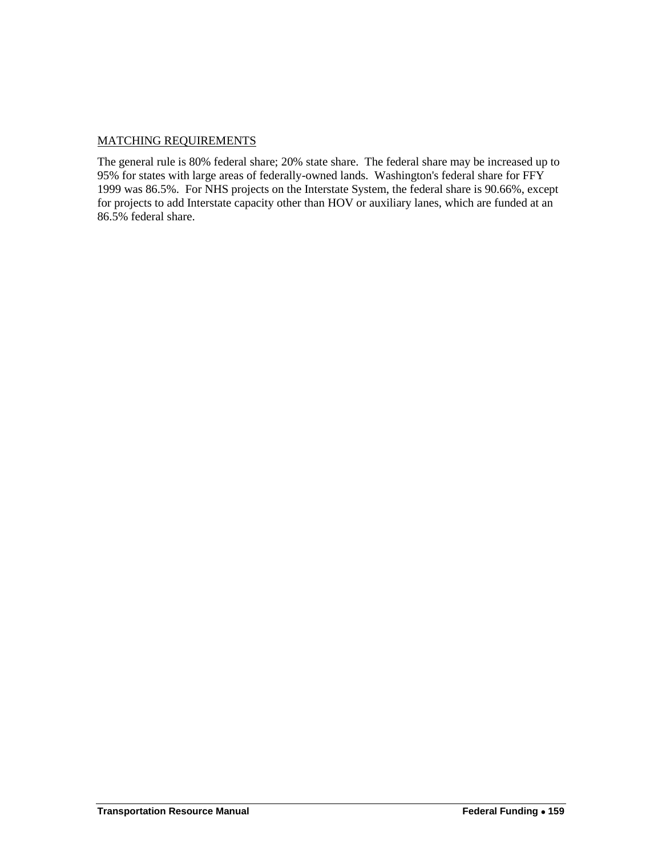## MATCHING REQUIREMENTS

The general rule is 80% federal share; 20% state share. The federal share may be increased up to 95% for states with large areas of federally-owned lands. Washington's federal share for FFY 1999 was 86.5%. For NHS projects on the Interstate System, the federal share is 90.66%, except for projects to add Interstate capacity other than HOV or auxiliary lanes, which are funded at an 86.5% federal share.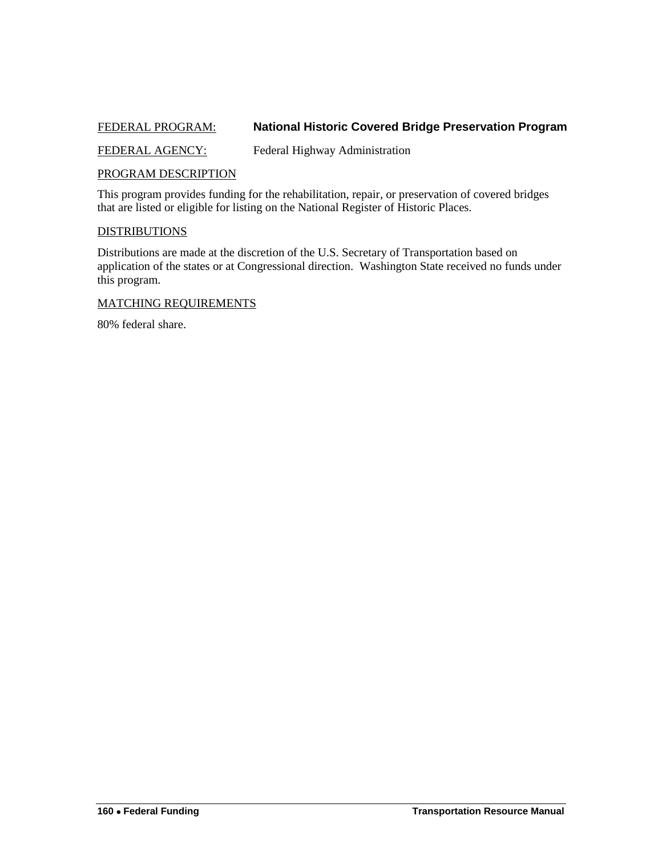## <span id="page-29-0"></span>FEDERAL PROGRAM: **National Historic Covered Bridge Preservation Program**

FEDERAL AGENCY: Federal Highway Administration

#### PROGRAM DESCRIPTION

This program provides funding for the rehabilitation, repair, or preservation of covered bridges that are listed or eligible for listing on the National Register of Historic Places.

#### **DISTRIBUTIONS**

Distributions are made at the discretion of the U.S. Secretary of Transportation based on application of the states or at Congressional direction. Washington State received no funds under this program.

#### MATCHING REQUIREMENTS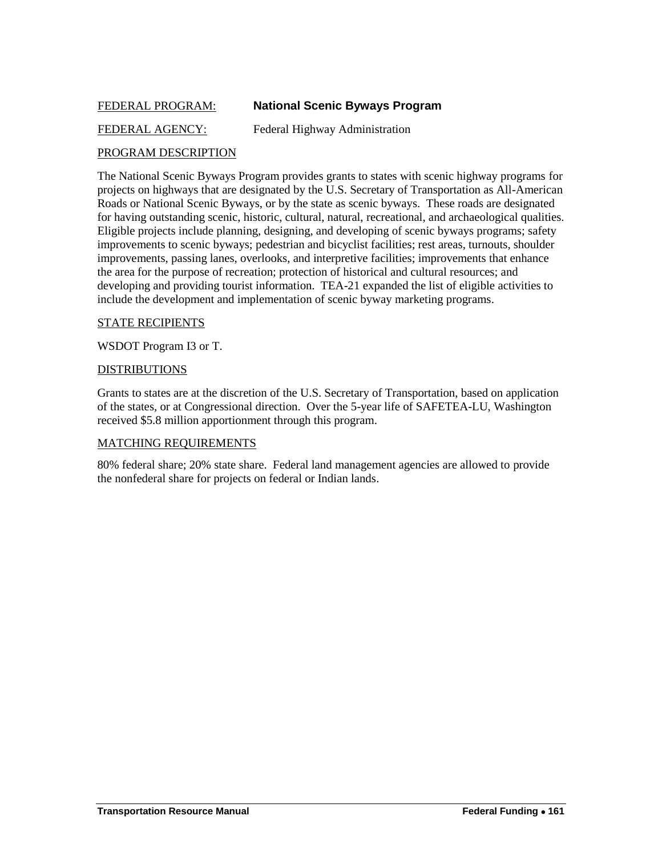## <span id="page-30-0"></span>FEDERAL PROGRAM: **National Scenic Byways Program**

## FEDERAL AGENCY: Federal Highway Administration

## PROGRAM DESCRIPTION

The National Scenic Byways Program provides grants to states with scenic highway programs for projects on highways that are designated by the U.S. Secretary of Transportation as All-American Roads or National Scenic Byways, or by the state as scenic byways. These roads are designated for having outstanding scenic, historic, cultural, natural, recreational, and archaeological qualities. Eligible projects include planning, designing, and developing of scenic byways programs; safety improvements to scenic byways; pedestrian and bicyclist facilities; rest areas, turnouts, shoulder improvements, passing lanes, overlooks, and interpretive facilities; improvements that enhance the area for the purpose of recreation; protection of historical and cultural resources; and developing and providing tourist information. TEA-21 expanded the list of eligible activities to include the development and implementation of scenic byway marketing programs.

#### STATE RECIPIENTS

WSDOT Program I3 or T.

#### DISTRIBUTIONS

Grants to states are at the discretion of the U.S. Secretary of Transportation, based on application of the states, or at Congressional direction. Over the 5-year life of SAFETEA-LU, Washington received \$5.8 million apportionment through this program.

#### MATCHING REQUIREMENTS

80% federal share; 20% state share. Federal land management agencies are allowed to provide the nonfederal share for projects on federal or Indian lands.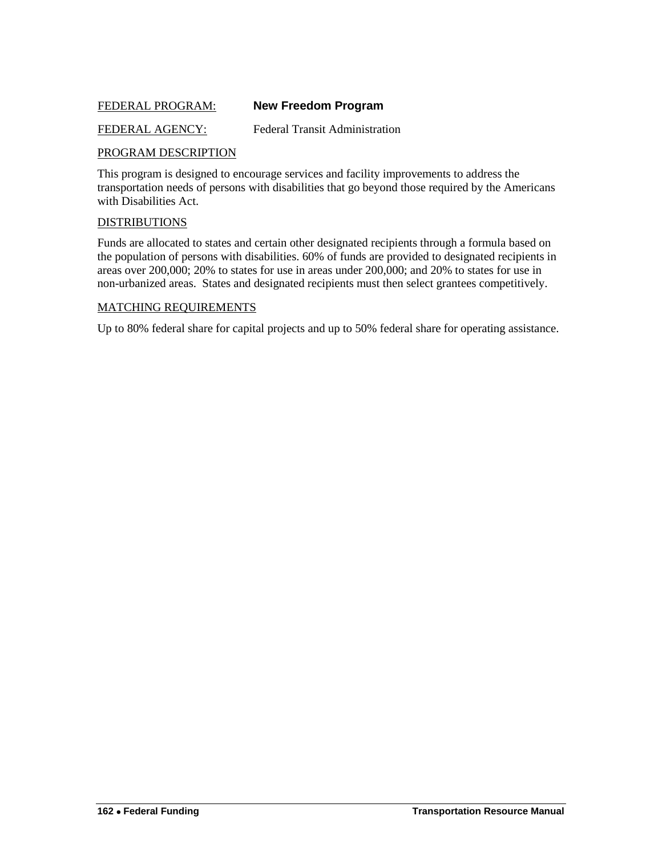## <span id="page-31-0"></span>FEDERAL PROGRAM: **New Freedom Program**

#### FEDERAL AGENCY: Federal Transit Administration

#### PROGRAM DESCRIPTION

This program is designed to encourage services and facility improvements to address the transportation needs of persons with disabilities that go beyond those required by the Americans with Disabilities Act.

#### **DISTRIBUTIONS**

Funds are allocated to states and certain other designated recipients through a formula based on the population of persons with disabilities. 60% of funds are provided to designated recipients in areas over 200,000; 20% to states for use in areas under 200,000; and 20% to states for use in non-urbanized areas. States and designated recipients must then select grantees competitively.

#### MATCHING REQUIREMENTS

Up to 80% federal share for capital projects and up to 50% federal share for operating assistance.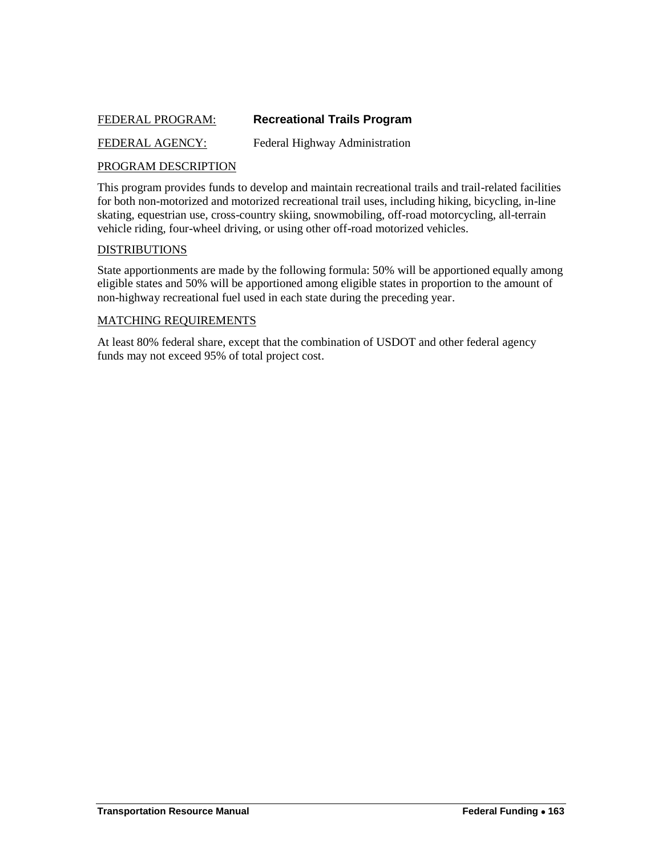## <span id="page-32-0"></span>FEDERAL PROGRAM: **Recreational Trails Program**

FEDERAL AGENCY: Federal Highway Administration

## PROGRAM DESCRIPTION

This program provides funds to develop and maintain recreational trails and trail-related facilities for both non-motorized and motorized recreational trail uses, including hiking, bicycling, in-line skating, equestrian use, cross-country skiing, snowmobiling, off-road motorcycling, all-terrain vehicle riding, four-wheel driving, or using other off-road motorized vehicles.

#### **DISTRIBUTIONS**

State apportionments are made by the following formula: 50% will be apportioned equally among eligible states and 50% will be apportioned among eligible states in proportion to the amount of non-highway recreational fuel used in each state during the preceding year.

#### MATCHING REQUIREMENTS

At least 80% federal share, except that the combination of USDOT and other federal agency funds may not exceed 95% of total project cost.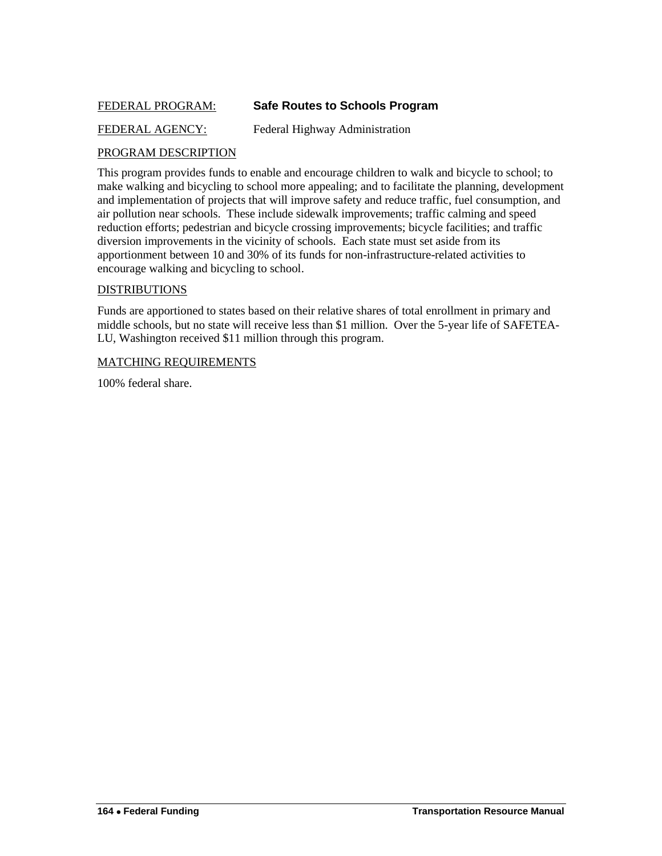## <span id="page-33-0"></span>FEDERAL PROGRAM: **Safe Routes to Schools Program**

## FEDERAL AGENCY: Federal Highway Administration

#### PROGRAM DESCRIPTION

This program provides funds to enable and encourage children to walk and bicycle to school; to make walking and bicycling to school more appealing; and to facilitate the planning, development and implementation of projects that will improve safety and reduce traffic, fuel consumption, and air pollution near schools. These include sidewalk improvements; traffic calming and speed reduction efforts; pedestrian and bicycle crossing improvements; bicycle facilities; and traffic diversion improvements in the vicinity of schools. Each state must set aside from its apportionment between 10 and 30% of its funds for non-infrastructure-related activities to encourage walking and bicycling to school.

#### DISTRIBUTIONS

Funds are apportioned to states based on their relative shares of total enrollment in primary and middle schools, but no state will receive less than \$1 million. Over the 5-year life of SAFETEA-LU, Washington received \$11 million through this program.

#### MATCHING REQUIREMENTS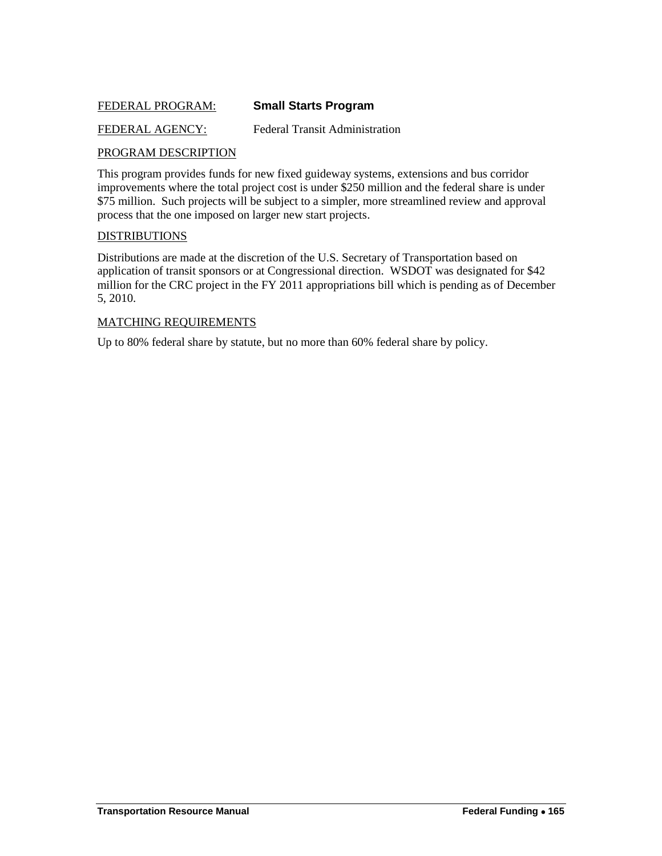## <span id="page-34-0"></span>FEDERAL PROGRAM: **Small Starts Program**

#### FEDERAL AGENCY: Federal Transit Administration

#### PROGRAM DESCRIPTION

This program provides funds for new fixed guideway systems, extensions and bus corridor improvements where the total project cost is under \$250 million and the federal share is under \$75 million. Such projects will be subject to a simpler, more streamlined review and approval process that the one imposed on larger new start projects.

#### DISTRIBUTIONS

Distributions are made at the discretion of the U.S. Secretary of Transportation based on application of transit sponsors or at Congressional direction. WSDOT was designated for \$42 million for the CRC project in the FY 2011 appropriations bill which is pending as of December 5, 2010.

#### MATCHING REQUIREMENTS

Up to 80% federal share by statute, but no more than 60% federal share by policy.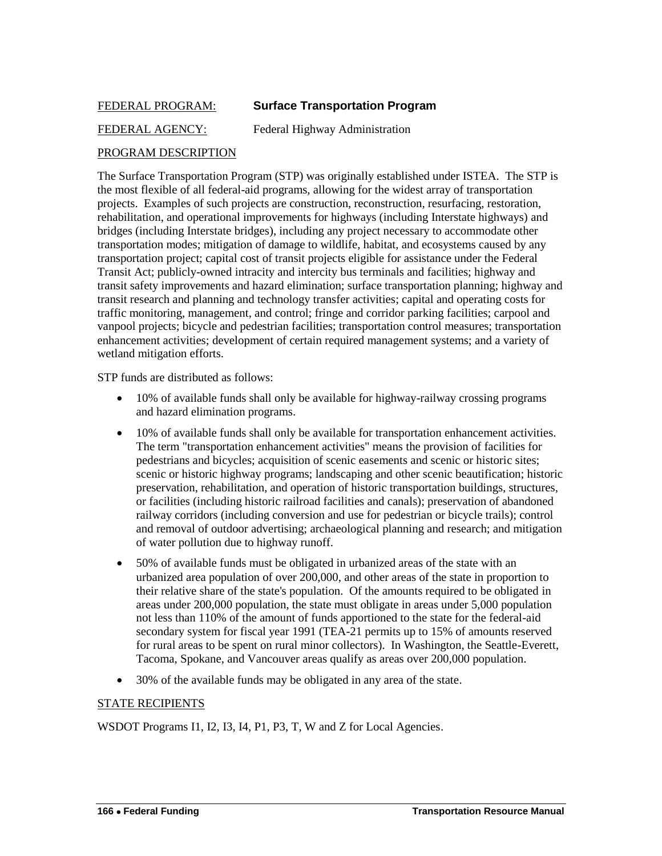## <span id="page-35-0"></span>FEDERAL PROGRAM: **Surface Transportation Program**

## FEDERAL AGENCY: Federal Highway Administration

## PROGRAM DESCRIPTION

The Surface Transportation Program (STP) was originally established under ISTEA. The STP is the most flexible of all federal-aid programs, allowing for the widest array of transportation projects. Examples of such projects are construction, reconstruction, resurfacing, restoration, rehabilitation, and operational improvements for highways (including Interstate highways) and bridges (including Interstate bridges), including any project necessary to accommodate other transportation modes; mitigation of damage to wildlife, habitat, and ecosystems caused by any transportation project; capital cost of transit projects eligible for assistance under the Federal Transit Act; publicly-owned intracity and intercity bus terminals and facilities; highway and transit safety improvements and hazard elimination; surface transportation planning; highway and transit research and planning and technology transfer activities; capital and operating costs for traffic monitoring, management, and control; fringe and corridor parking facilities; carpool and vanpool projects; bicycle and pedestrian facilities; transportation control measures; transportation enhancement activities; development of certain required management systems; and a variety of wetland mitigation efforts.

STP funds are distributed as follows:

- 10% of available funds shall only be available for highway-railway crossing programs and hazard elimination programs.
- 10% of available funds shall only be available for transportation enhancement activities. The term "transportation enhancement activities" means the provision of facilities for pedestrians and bicycles; acquisition of scenic easements and scenic or historic sites; scenic or historic highway programs; landscaping and other scenic beautification; historic preservation, rehabilitation, and operation of historic transportation buildings, structures, or facilities (including historic railroad facilities and canals); preservation of abandoned railway corridors (including conversion and use for pedestrian or bicycle trails); control and removal of outdoor advertising; archaeological planning and research; and mitigation of water pollution due to highway runoff.
- 50% of available funds must be obligated in urbanized areas of the state with an urbanized area population of over 200,000, and other areas of the state in proportion to their relative share of the state's population. Of the amounts required to be obligated in areas under 200,000 population, the state must obligate in areas under 5,000 population not less than 110% of the amount of funds apportioned to the state for the federal-aid secondary system for fiscal year 1991 (TEA-21 permits up to 15% of amounts reserved for rural areas to be spent on rural minor collectors). In Washington, the Seattle-Everett, Tacoma, Spokane, and Vancouver areas qualify as areas over 200,000 population.
- 30% of the available funds may be obligated in any area of the state.

#### STATE RECIPIENTS

WSDOT Programs I1, I2, I3, I4, P1, P3, T, W and Z for Local Agencies.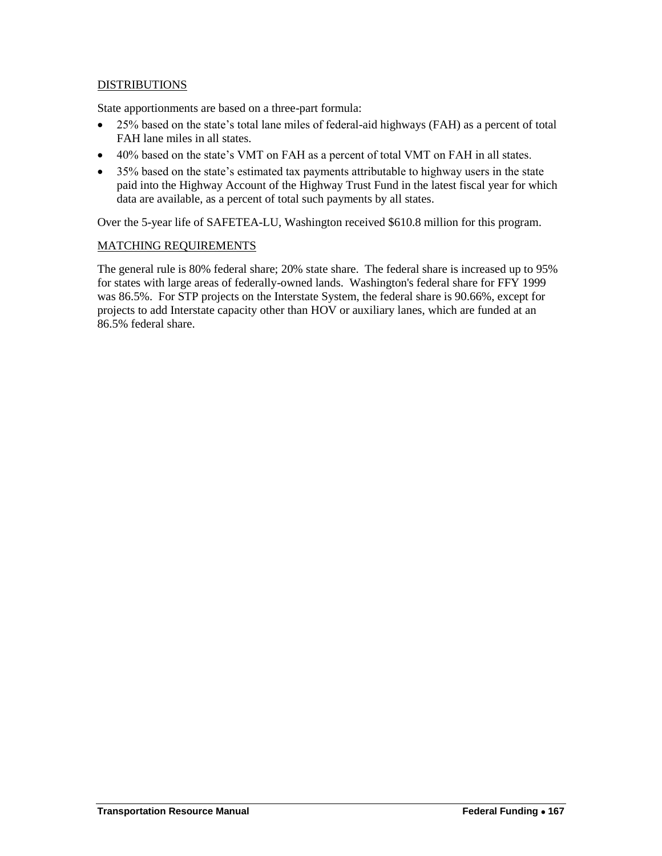## **DISTRIBUTIONS**

State apportionments are based on a three-part formula:

- 25% based on the state's total lane miles of federal-aid highways (FAH) as a percent of total FAH lane miles in all states.
- 40% based on the state's VMT on FAH as a percent of total VMT on FAH in all states.
- 35% based on the state's estimated tax payments attributable to highway users in the state paid into the Highway Account of the Highway Trust Fund in the latest fiscal year for which data are available, as a percent of total such payments by all states.

Over the 5-year life of SAFETEA-LU, Washington received \$610.8 million for this program.

#### MATCHING REQUIREMENTS

The general rule is 80% federal share; 20% state share. The federal share is increased up to 95% for states with large areas of federally-owned lands. Washington's federal share for FFY 1999 was 86.5%. For STP projects on the Interstate System, the federal share is 90.66%, except for projects to add Interstate capacity other than HOV or auxiliary lanes, which are funded at an 86.5% federal share.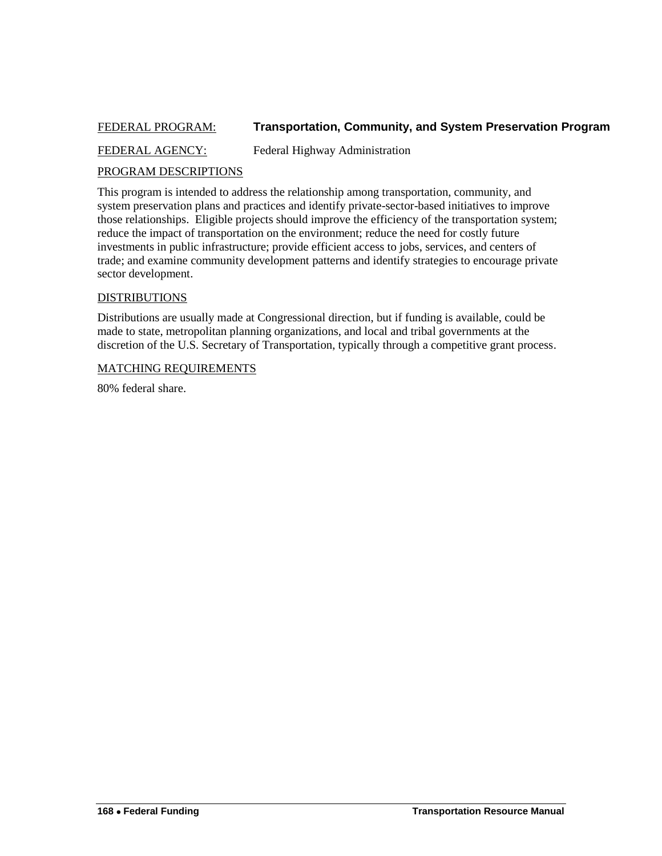## <span id="page-37-0"></span>FEDERAL PROGRAM: **Transportation, Community, and System Preservation Program**

FEDERAL AGENCY: Federal Highway Administration

#### PROGRAM DESCRIPTIONS

This program is intended to address the relationship among transportation, community, and system preservation plans and practices and identify private-sector-based initiatives to improve those relationships. Eligible projects should improve the efficiency of the transportation system; reduce the impact of transportation on the environment; reduce the need for costly future investments in public infrastructure; provide efficient access to jobs, services, and centers of trade; and examine community development patterns and identify strategies to encourage private sector development.

#### **DISTRIBUTIONS**

Distributions are usually made at Congressional direction, but if funding is available, could be made to state, metropolitan planning organizations, and local and tribal governments at the discretion of the U.S. Secretary of Transportation, typically through a competitive grant process.

#### MATCHING REQUIREMENTS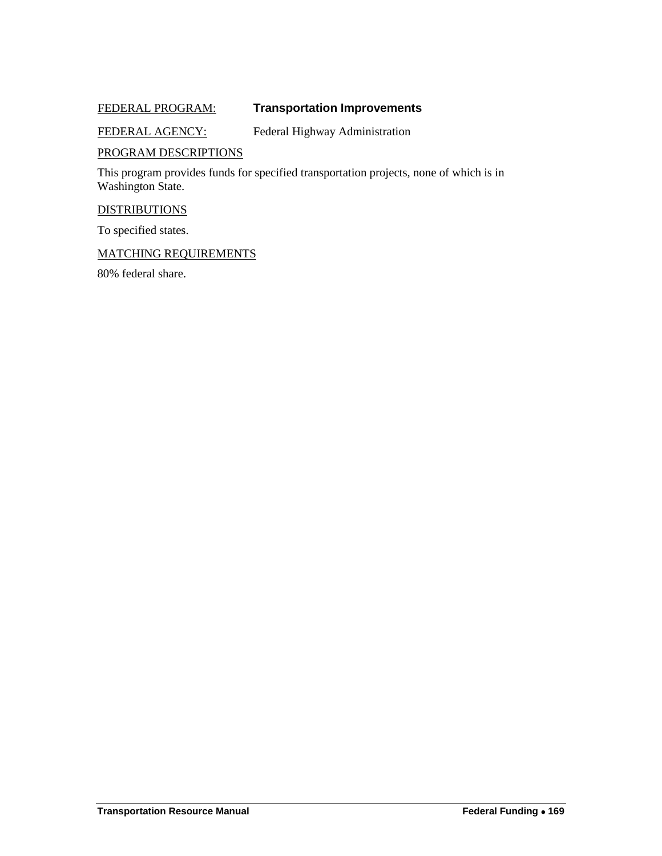## <span id="page-38-0"></span>FEDERAL PROGRAM: **Transportation Improvements**

## FEDERAL AGENCY: Federal Highway Administration

#### PROGRAM DESCRIPTIONS

This program provides funds for specified transportation projects, none of which is in Washington State.

#### **DISTRIBUTIONS**

To specified states.

## MATCHING REQUIREMENTS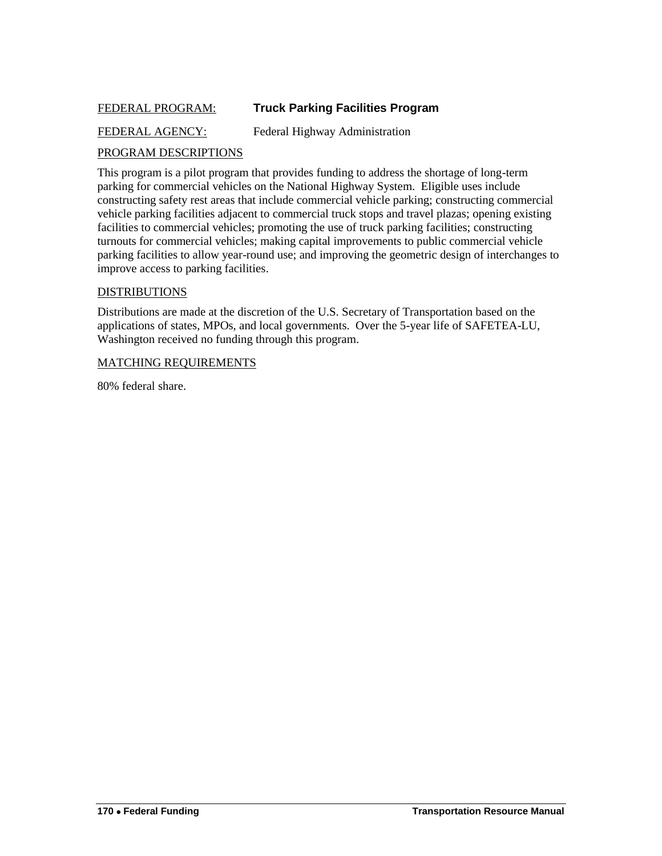## <span id="page-39-0"></span>FEDERAL PROGRAM: **Truck Parking Facilities Program**

## FEDERAL AGENCY: Federal Highway Administration

## PROGRAM DESCRIPTIONS

This program is a pilot program that provides funding to address the shortage of long-term parking for commercial vehicles on the National Highway System. Eligible uses include constructing safety rest areas that include commercial vehicle parking; constructing commercial vehicle parking facilities adjacent to commercial truck stops and travel plazas; opening existing facilities to commercial vehicles; promoting the use of truck parking facilities; constructing turnouts for commercial vehicles; making capital improvements to public commercial vehicle parking facilities to allow year-round use; and improving the geometric design of interchanges to improve access to parking facilities.

#### DISTRIBUTIONS

Distributions are made at the discretion of the U.S. Secretary of Transportation based on the applications of states, MPOs, and local governments. Over the 5-year life of SAFETEA-LU, Washington received no funding through this program.

#### MATCHING REQUIREMENTS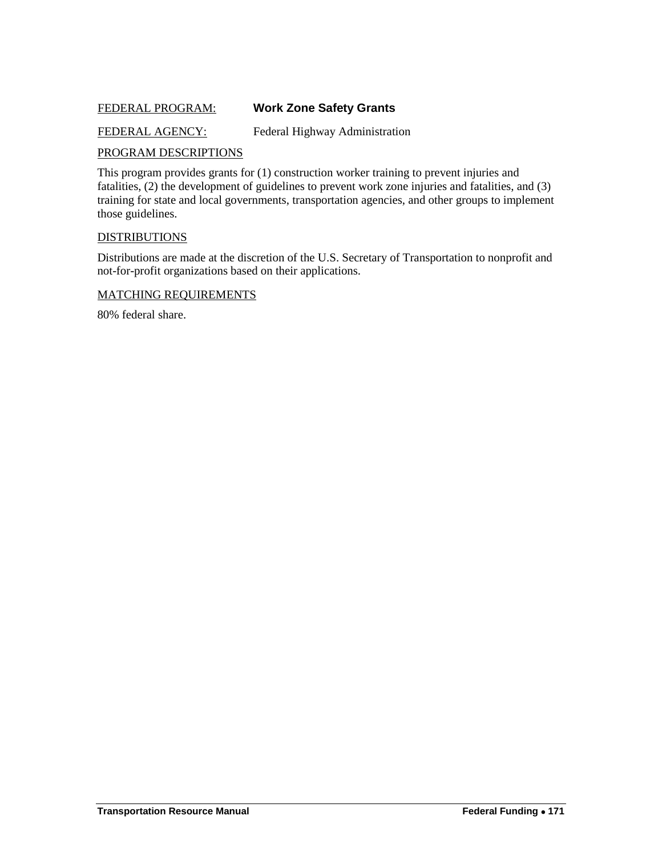## <span id="page-40-0"></span>FEDERAL PROGRAM: **Work Zone Safety Grants**

## FEDERAL AGENCY: Federal Highway Administration

#### PROGRAM DESCRIPTIONS

This program provides grants for (1) construction worker training to prevent injuries and fatalities, (2) the development of guidelines to prevent work zone injuries and fatalities, and (3) training for state and local governments, transportation agencies, and other groups to implement those guidelines.

#### **DISTRIBUTIONS**

Distributions are made at the discretion of the U.S. Secretary of Transportation to nonprofit and not-for-profit organizations based on their applications.

#### MATCHING REQUIREMENTS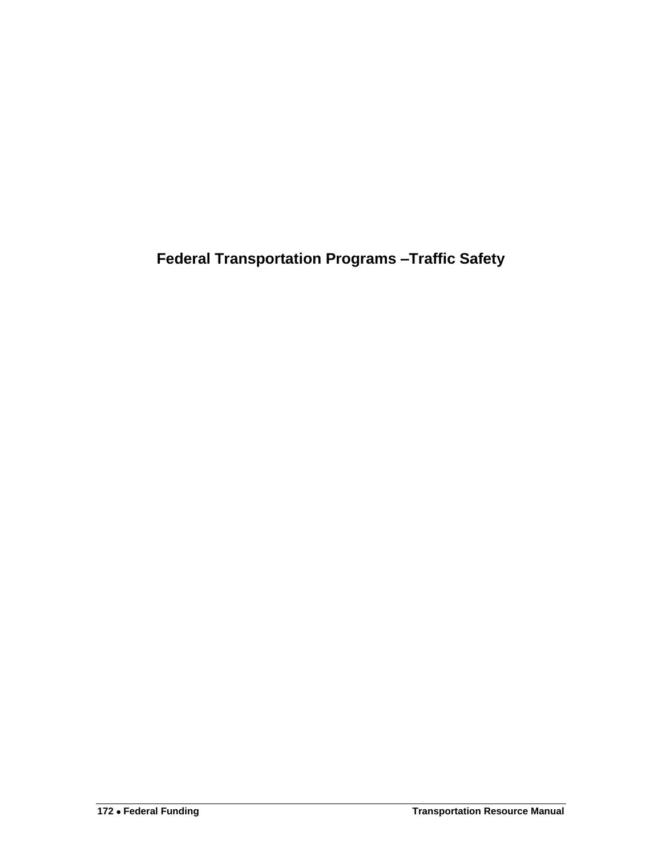<span id="page-41-0"></span>**Federal Transportation Programs –Traffic Safety**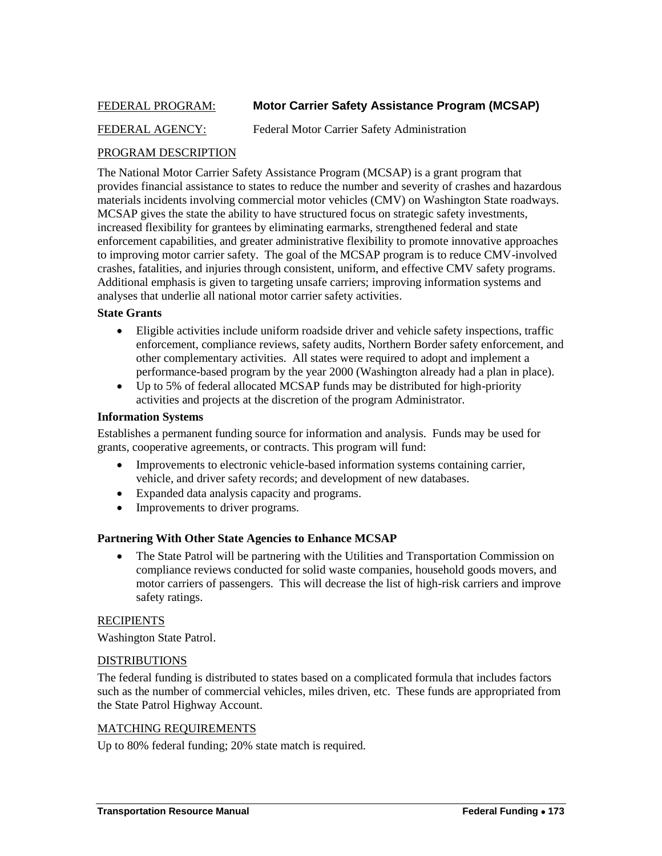## <span id="page-42-0"></span>FEDERAL PROGRAM: **Motor Carrier Safety Assistance Program (MCSAP)**

## FEDERAL AGENCY: Federal Motor Carrier Safety Administration

## PROGRAM DESCRIPTION

The National Motor Carrier Safety Assistance Program (MCSAP) is a grant program that provides financial assistance to states to reduce the number and severity of crashes and hazardous materials incidents involving commercial motor vehicles (CMV) on Washington State roadways. MCSAP gives the state the ability to have structured focus on strategic safety investments, increased flexibility for grantees by eliminating earmarks, strengthened federal and state enforcement capabilities, and greater administrative flexibility to promote innovative approaches to improving motor carrier safety. The goal of the MCSAP program is to reduce CMV-involved crashes, fatalities, and injuries through consistent, uniform, and effective CMV safety programs. Additional emphasis is given to targeting unsafe carriers; improving information systems and analyses that underlie all national motor carrier safety activities.

#### **State Grants**

- Eligible activities include uniform roadside driver and vehicle safety inspections, traffic enforcement, compliance reviews, safety audits, Northern Border safety enforcement, and other complementary activities. All states were required to adopt and implement a performance-based program by the year 2000 (Washington already had a plan in place).
- Up to 5% of federal allocated MCSAP funds may be distributed for high-priority activities and projects at the discretion of the program Administrator.

#### **Information Systems**

Establishes a permanent funding source for information and analysis. Funds may be used for grants, cooperative agreements, or contracts. This program will fund:

- Improvements to electronic vehicle-based information systems containing carrier, vehicle, and driver safety records; and development of new databases.
- Expanded data analysis capacity and programs.
- Improvements to driver programs.

## **Partnering With Other State Agencies to Enhance MCSAP**

• The State Patrol will be partnering with the Utilities and Transportation Commission on compliance reviews conducted for solid waste companies, household goods movers, and motor carriers of passengers. This will decrease the list of high-risk carriers and improve safety ratings.

#### **RECIPIENTS**

Washington State Patrol.

#### DISTRIBUTIONS

The federal funding is distributed to states based on a complicated formula that includes factors such as the number of commercial vehicles, miles driven, etc. These funds are appropriated from the State Patrol Highway Account.

#### MATCHING REQUIREMENTS

Up to 80% federal funding; 20% state match is required.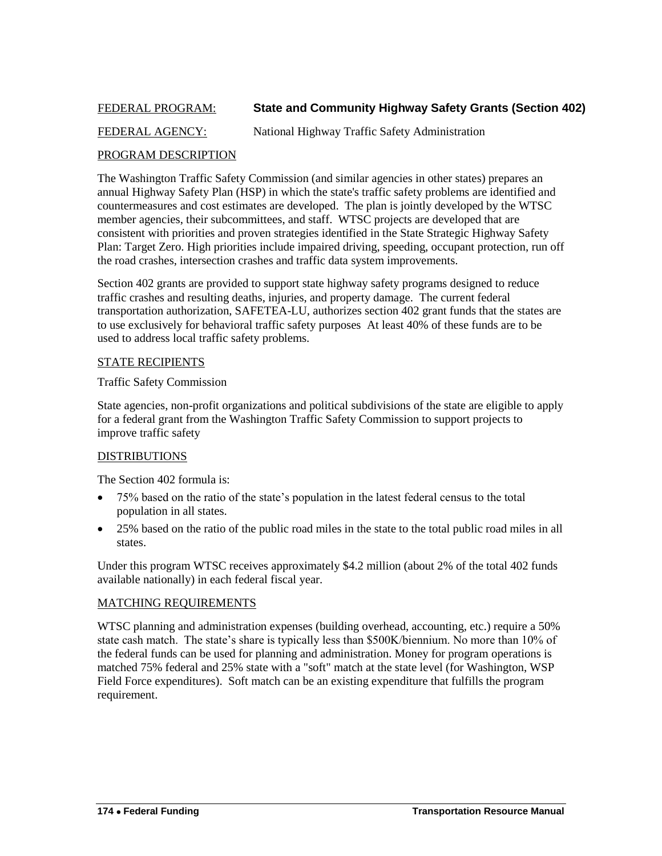## <span id="page-43-0"></span>FEDERAL PROGRAM: **State and Community Highway Safety Grants (Section 402)**

## FEDERAL AGENCY: National Highway Traffic Safety Administration

#### PROGRAM DESCRIPTION

The Washington Traffic Safety Commission (and similar agencies in other states) prepares an annual Highway Safety Plan (HSP) in which the state's traffic safety problems are identified and countermeasures and cost estimates are developed. The plan is jointly developed by the WTSC member agencies, their subcommittees, and staff. WTSC projects are developed that are consistent with priorities and proven strategies identified in the State Strategic Highway Safety Plan: Target Zero. High priorities include impaired driving, speeding, occupant protection, run off the road crashes, intersection crashes and traffic data system improvements.

Section 402 grants are provided to support state highway safety programs designed to reduce traffic crashes and resulting deaths, injuries, and property damage. The current federal transportation authorization, SAFETEA-LU, authorizes section 402 grant funds that the states are to use exclusively for behavioral traffic safety purposes At least 40% of these funds are to be used to address local traffic safety problems.

#### STATE RECIPIENTS

#### Traffic Safety Commission

State agencies, non-profit organizations and political subdivisions of the state are eligible to apply for a federal grant from the Washington Traffic Safety Commission to support projects to improve traffic safety

## DISTRIBUTIONS

The Section 402 formula is:

- 75% based on the ratio of the state's population in the latest federal census to the total population in all states.
- 25% based on the ratio of the public road miles in the state to the total public road miles in all states.

Under this program WTSC receives approximately \$4.2 million (about 2% of the total 402 funds available nationally) in each federal fiscal year.

#### MATCHING REQUIREMENTS

WTSC planning and administration expenses (building overhead, accounting, etc.) require a 50% state cash match. The state's share is typically less than \$500K/biennium. No more than 10% of the federal funds can be used for planning and administration. Money for program operations is matched 75% federal and 25% state with a "soft" match at the state level (for Washington, WSP Field Force expenditures). Soft match can be an existing expenditure that fulfills the program requirement.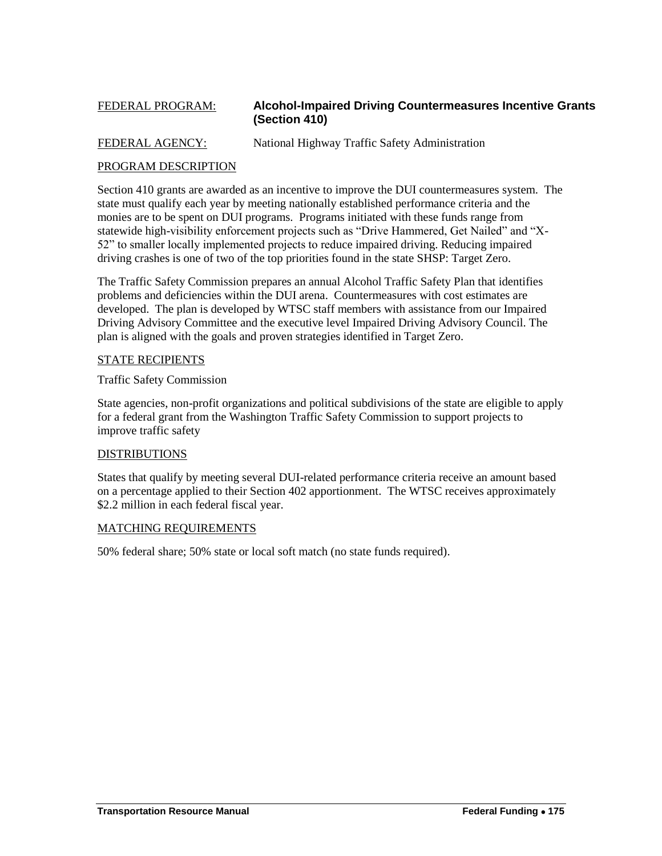## <span id="page-44-0"></span>FEDERAL PROGRAM: **Alcohol-Impaired Driving Countermeasures Incentive Grants (Section 410)**

FEDERAL AGENCY: National Highway Traffic Safety Administration

## PROGRAM DESCRIPTION

Section 410 grants are awarded as an incentive to improve the DUI countermeasures system. The state must qualify each year by meeting nationally established performance criteria and the monies are to be spent on DUI programs. Programs initiated with these funds range from statewide high-visibility enforcement projects such as "Drive Hammered, Get Nailed" and "X-52‖ to smaller locally implemented projects to reduce impaired driving. Reducing impaired driving crashes is one of two of the top priorities found in the state SHSP: Target Zero.

The Traffic Safety Commission prepares an annual Alcohol Traffic Safety Plan that identifies problems and deficiencies within the DUI arena. Countermeasures with cost estimates are developed. The plan is developed by WTSC staff members with assistance from our Impaired Driving Advisory Committee and the executive level Impaired Driving Advisory Council. The plan is aligned with the goals and proven strategies identified in Target Zero.

#### STATE RECIPIENTS

Traffic Safety Commission

State agencies, non-profit organizations and political subdivisions of the state are eligible to apply for a federal grant from the Washington Traffic Safety Commission to support projects to improve traffic safety

## DISTRIBUTIONS

States that qualify by meeting several DUI-related performance criteria receive an amount based on a percentage applied to their Section 402 apportionment. The WTSC receives approximately \$2.2 million in each federal fiscal year.

#### MATCHING REQUIREMENTS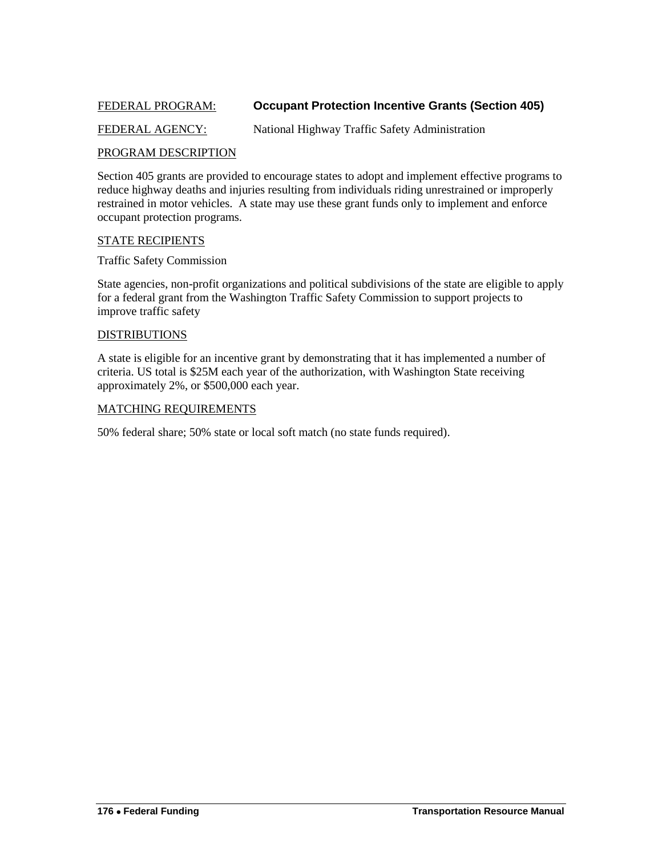## <span id="page-45-0"></span>FEDERAL PROGRAM: **Occupant Protection Incentive Grants (Section 405)**

## FEDERAL AGENCY: National Highway Traffic Safety Administration

#### PROGRAM DESCRIPTION

Section 405 grants are provided to encourage states to adopt and implement effective programs to reduce highway deaths and injuries resulting from individuals riding unrestrained or improperly restrained in motor vehicles. A state may use these grant funds only to implement and enforce occupant protection programs.

#### STATE RECIPIENTS

Traffic Safety Commission

State agencies, non-profit organizations and political subdivisions of the state are eligible to apply for a federal grant from the Washington Traffic Safety Commission to support projects to improve traffic safety

#### DISTRIBUTIONS

A state is eligible for an incentive grant by demonstrating that it has implemented a number of criteria. US total is \$25M each year of the authorization, with Washington State receiving approximately 2%, or \$500,000 each year.

#### MATCHING REQUIREMENTS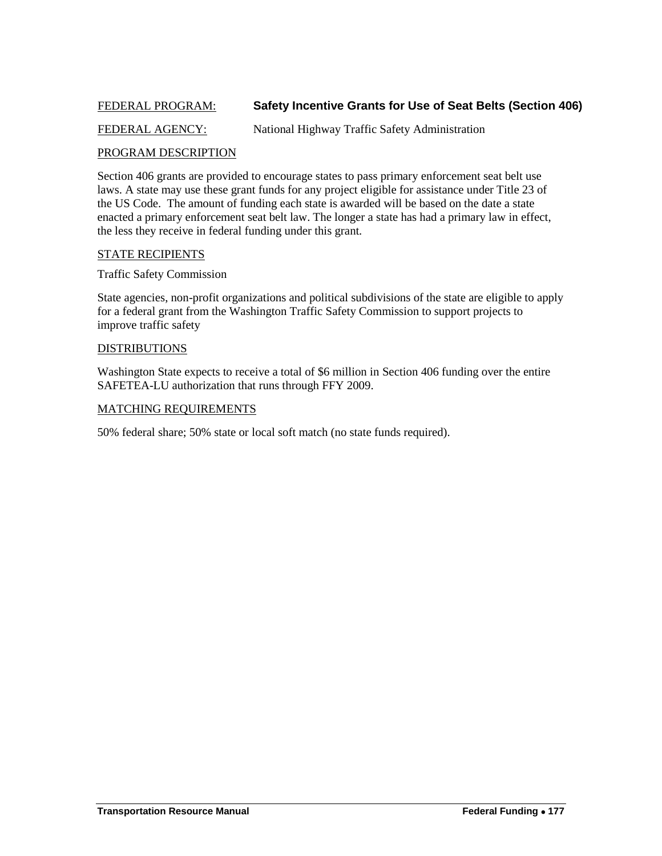## <span id="page-46-0"></span>FEDERAL PROGRAM: **Safety Incentive Grants for Use of Seat Belts (Section 406)**

## FEDERAL AGENCY: National Highway Traffic Safety Administration

#### PROGRAM DESCRIPTION

Section 406 grants are provided to encourage states to pass primary enforcement seat belt use laws. A state may use these grant funds for any project eligible for assistance under Title 23 of the US Code. The amount of funding each state is awarded will be based on the date a state enacted a primary enforcement seat belt law. The longer a state has had a primary law in effect, the less they receive in federal funding under this grant.

#### STATE RECIPIENTS

#### Traffic Safety Commission

State agencies, non-profit organizations and political subdivisions of the state are eligible to apply for a federal grant from the Washington Traffic Safety Commission to support projects to improve traffic safety

#### DISTRIBUTIONS

Washington State expects to receive a total of \$6 million in Section 406 funding over the entire SAFETEA-LU authorization that runs through FFY 2009.

#### MATCHING REQUIREMENTS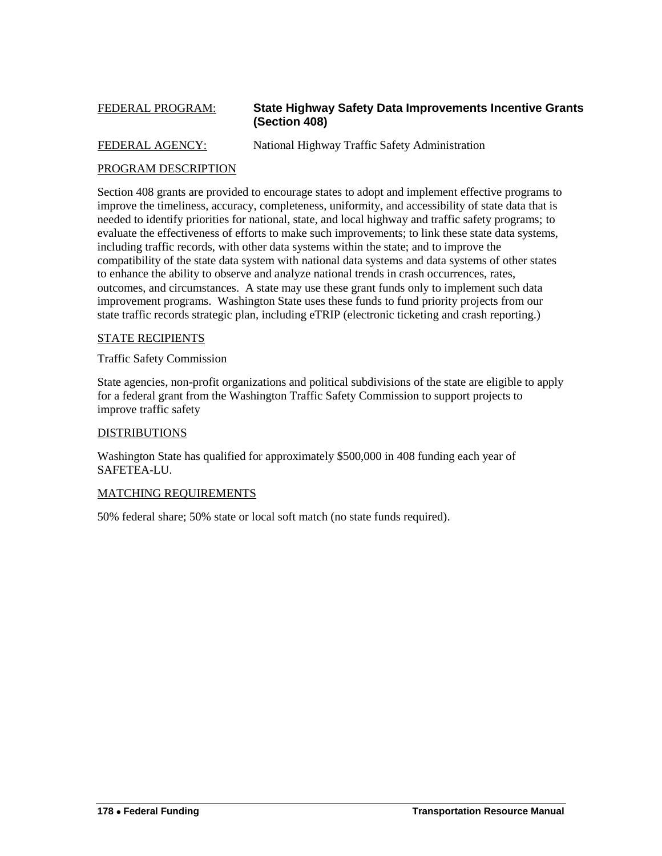## <span id="page-47-0"></span>FEDERAL PROGRAM: **State Highway Safety Data Improvements Incentive Grants (Section 408)**

FEDERAL AGENCY: National Highway Traffic Safety Administration

## PROGRAM DESCRIPTION

Section 408 grants are provided to encourage states to adopt and implement effective programs to improve the timeliness, accuracy, completeness, uniformity, and accessibility of state data that is needed to identify priorities for national, state, and local highway and traffic safety programs; to evaluate the effectiveness of efforts to make such improvements; to link these state data systems, including traffic records, with other data systems within the state; and to improve the compatibility of the state data system with national data systems and data systems of other states to enhance the ability to observe and analyze national trends in crash occurrences, rates, outcomes, and circumstances. A state may use these grant funds only to implement such data improvement programs. Washington State uses these funds to fund priority projects from our state traffic records strategic plan, including eTRIP (electronic ticketing and crash reporting.)

#### STATE RECIPIENTS

Traffic Safety Commission

State agencies, non-profit organizations and political subdivisions of the state are eligible to apply for a federal grant from the Washington Traffic Safety Commission to support projects to improve traffic safety

#### DISTRIBUTIONS

Washington State has qualified for approximately \$500,000 in 408 funding each year of SAFETEA-LU.

## MATCHING REQUIREMENTS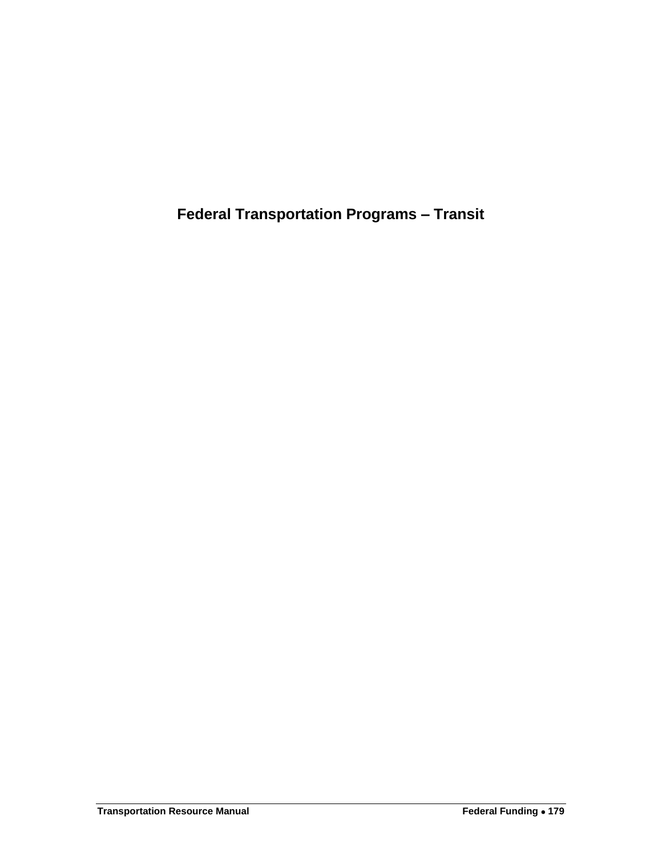<span id="page-48-0"></span>**Federal Transportation Programs – Transit**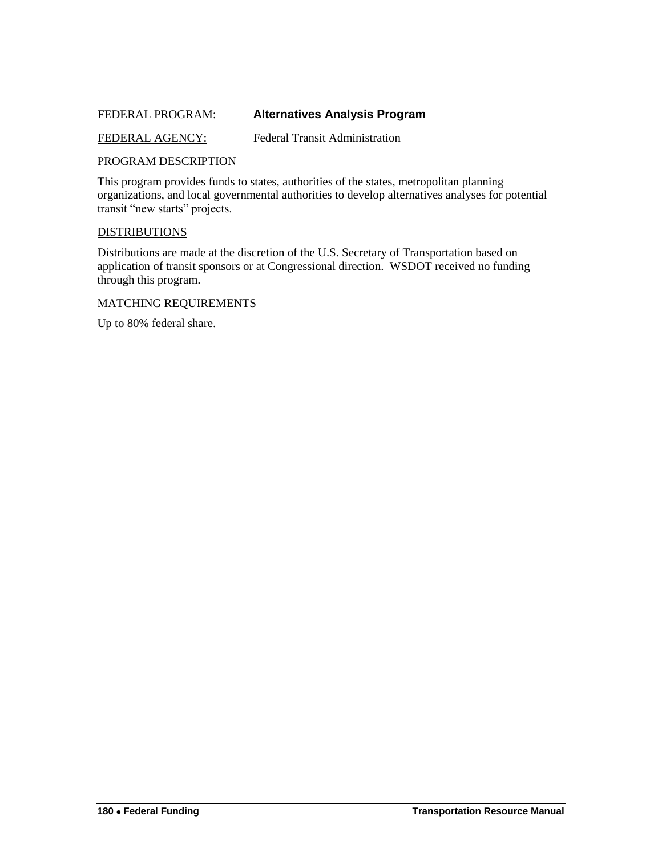## <span id="page-49-0"></span>FEDERAL PROGRAM: **Alternatives Analysis Program**

FEDERAL AGENCY: Federal Transit Administration

#### PROGRAM DESCRIPTION

This program provides funds to states, authorities of the states, metropolitan planning organizations, and local governmental authorities to develop alternatives analyses for potential transit "new starts" projects.

#### DISTRIBUTIONS

Distributions are made at the discretion of the U.S. Secretary of Transportation based on application of transit sponsors or at Congressional direction. WSDOT received no funding through this program.

#### MATCHING REQUIREMENTS

Up to 80% federal share.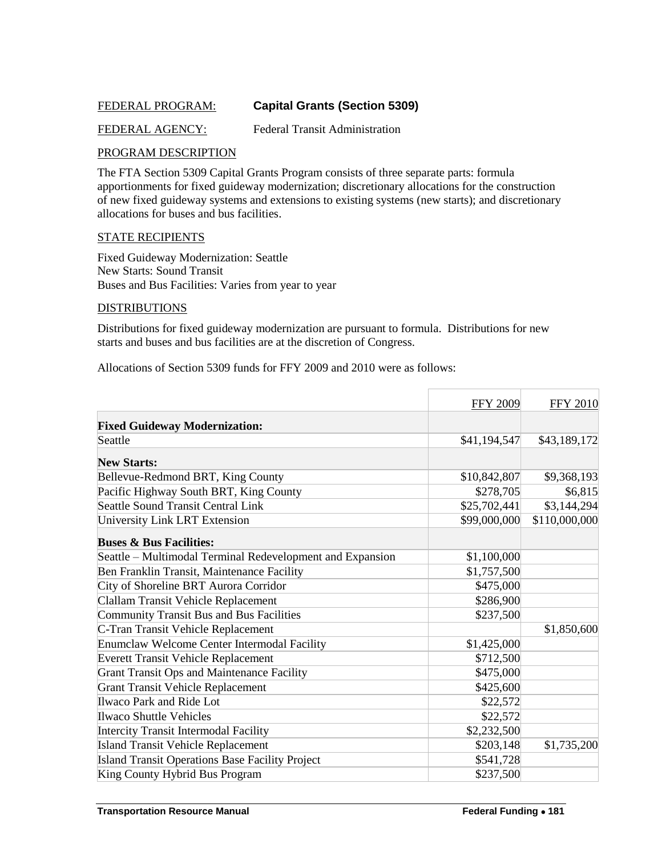## <span id="page-50-0"></span>FEDERAL PROGRAM: **Capital Grants (Section 5309)**

## FEDERAL AGENCY: Federal Transit Administration

#### PROGRAM DESCRIPTION

The FTA Section 5309 Capital Grants Program consists of three separate parts: formula apportionments for fixed guideway modernization; discretionary allocations for the construction of new fixed guideway systems and extensions to existing systems (new starts); and discretionary allocations for buses and bus facilities.

#### STATE RECIPIENTS

Fixed Guideway Modernization: Seattle New Starts: Sound Transit Buses and Bus Facilities: Varies from year to year

#### **DISTRIBUTIONS**

Distributions for fixed guideway modernization are pursuant to formula. Distributions for new starts and buses and bus facilities are at the discretion of Congress.

Allocations of Section 5309 funds for FFY 2009 and 2010 were as follows:

|                                                           | <b>FFY 2009</b> | <b>FFY 2010</b> |
|-----------------------------------------------------------|-----------------|-----------------|
| <b>Fixed Guideway Modernization:</b>                      |                 |                 |
| Seattle                                                   | \$41,194,547    | \$43,189,172    |
| <b>New Starts:</b>                                        |                 |                 |
| Bellevue-Redmond BRT, King County                         | \$10,842,807    | \$9,368,193     |
| Pacific Highway South BRT, King County                    | \$278,705       | \$6,815         |
| Seattle Sound Transit Central Link                        | \$25,702,441    | \$3,144,294     |
| University Link LRT Extension                             | \$99,000,000    | \$110,000,000   |
| <b>Buses &amp; Bus Facilities:</b>                        |                 |                 |
| Seattle - Multimodal Terminal Redevelopment and Expansion | \$1,100,000     |                 |
| Ben Franklin Transit, Maintenance Facility                | \$1,757,500     |                 |
| City of Shoreline BRT Aurora Corridor                     | \$475,000       |                 |
| Clallam Transit Vehicle Replacement                       | \$286,900       |                 |
| <b>Community Transit Bus and Bus Facilities</b>           | \$237,500       |                 |
| C-Tran Transit Vehicle Replacement                        |                 | \$1,850,600     |
| Enumclaw Welcome Center Intermodal Facility               | \$1,425,000     |                 |
| <b>Everett Transit Vehicle Replacement</b>                | \$712,500       |                 |
| Grant Transit Ops and Maintenance Facility                | \$475,000       |                 |
| <b>Grant Transit Vehicle Replacement</b>                  | \$425,600       |                 |
| Ilwaco Park and Ride Lot                                  | \$22,572        |                 |
| <b>Ilwaco Shuttle Vehicles</b>                            | \$22,572        |                 |
| Intercity Transit Intermodal Facility                     | \$2,232,500     |                 |
| <b>Island Transit Vehicle Replacement</b>                 | \$203,148       | \$1,735,200     |
| Island Transit Operations Base Facility Project           | \$541,728       |                 |
| King County Hybrid Bus Program                            | \$237,500       |                 |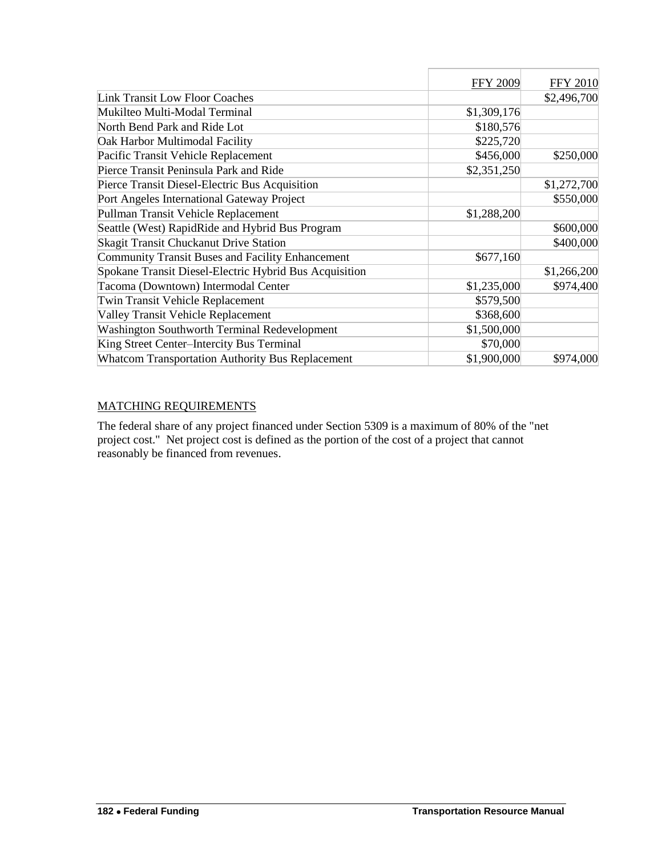|                                                        | <b>FFY 2009</b> | <b>FFY 2010</b> |
|--------------------------------------------------------|-----------------|-----------------|
| <b>Link Transit Low Floor Coaches</b>                  |                 | \$2,496,700     |
| Mukilteo Multi-Modal Terminal                          | \$1,309,176     |                 |
| North Bend Park and Ride Lot                           | \$180,576       |                 |
| Oak Harbor Multimodal Facility                         | \$225,720       |                 |
| Pacific Transit Vehicle Replacement                    | \$456,000       | \$250,000       |
| Pierce Transit Peninsula Park and Ride                 | \$2,351,250     |                 |
| Pierce Transit Diesel-Electric Bus Acquisition         |                 | \$1,272,700     |
| Port Angeles International Gateway Project             |                 | \$550,000       |
| Pullman Transit Vehicle Replacement                    | \$1,288,200     |                 |
| Seattle (West) RapidRide and Hybrid Bus Program        |                 | \$600,000       |
| <b>Skagit Transit Chuckanut Drive Station</b>          |                 | \$400,000       |
| Community Transit Buses and Facility Enhancement       | \$677,160       |                 |
| Spokane Transit Diesel-Electric Hybrid Bus Acquisition |                 | \$1,266,200     |
| Tacoma (Downtown) Intermodal Center                    | \$1,235,000     | \$974,400       |
| <b>Twin Transit Vehicle Replacement</b>                | \$579,500       |                 |
| Valley Transit Vehicle Replacement                     | \$368,600       |                 |
| <b>Washington Southworth Terminal Redevelopment</b>    | \$1,500,000     |                 |
| King Street Center-Intercity Bus Terminal              | \$70,000        |                 |
| Whatcom Transportation Authority Bus Replacement       | \$1,900,000     | \$974,000       |

## MATCHING REQUIREMENTS

The federal share of any project financed under Section 5309 is a maximum of 80% of the "net project cost." Net project cost is defined as the portion of the cost of a project that cannot reasonably be financed from revenues.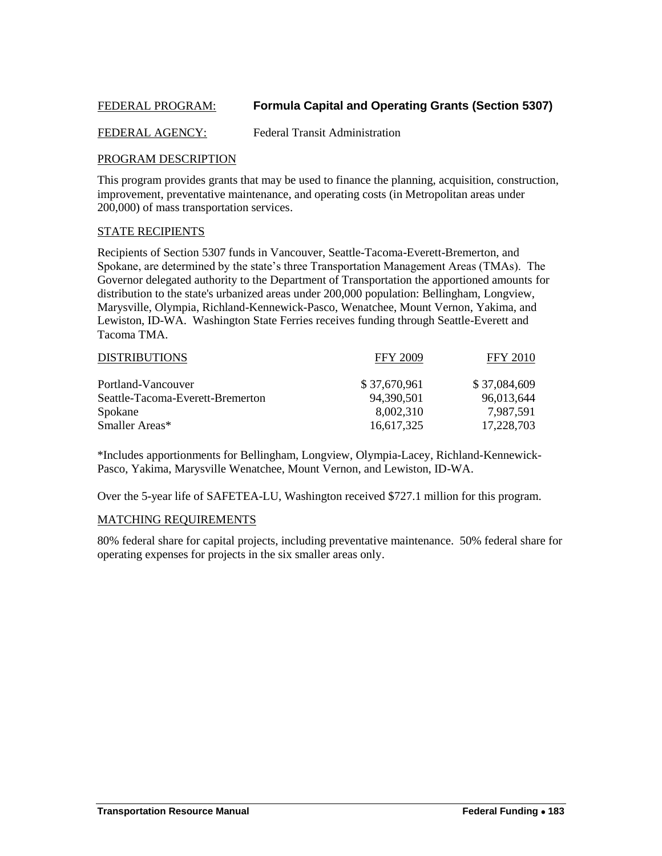## <span id="page-52-0"></span>FEDERAL PROGRAM: **Formula Capital and Operating Grants (Section 5307)**

#### FEDERAL AGENCY: Federal Transit Administration

#### PROGRAM DESCRIPTION

This program provides grants that may be used to finance the planning, acquisition, construction, improvement, preventative maintenance, and operating costs (in Metropolitan areas under 200,000) of mass transportation services.

#### STATE RECIPIENTS

Recipients of Section 5307 funds in Vancouver, Seattle-Tacoma-Everett-Bremerton, and Spokane, are determined by the state's three Transportation Management Areas (TMAs). The Governor delegated authority to the Department of Transportation the apportioned amounts for distribution to the state's urbanized areas under 200,000 population: Bellingham, Longview, Marysville, Olympia, Richland-Kennewick-Pasco, Wenatchee, Mount Vernon, Yakima, and Lewiston, ID-WA. Washington State Ferries receives funding through Seattle-Everett and Tacoma TMA.

| <b>DISTRIBUTIONS</b>             | <b>FFY 2009</b> | <b>FFY 2010</b> |
|----------------------------------|-----------------|-----------------|
| Portland-Vancouver               | \$37,670,961    | \$37,084,609    |
| Seattle-Tacoma-Everett-Bremerton | 94,390,501      | 96,013,644      |
| Spokane                          | 8,002,310       | 7.987.591       |
| Smaller Areas*                   | 16,617,325      | 17,228,703      |

\*Includes apportionments for Bellingham, Longview, Olympia-Lacey, Richland-Kennewick-Pasco, Yakima, Marysville Wenatchee, Mount Vernon, and Lewiston, ID-WA.

Over the 5-year life of SAFETEA-LU, Washington received \$727.1 million for this program.

#### MATCHING REQUIREMENTS

80% federal share for capital projects, including preventative maintenance. 50% federal share for operating expenses for projects in the six smaller areas only.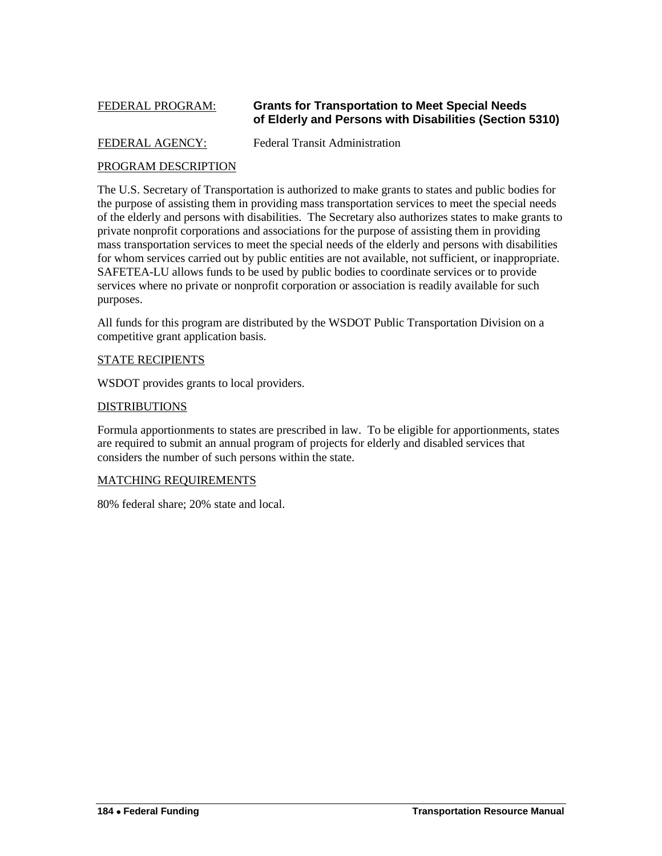#### FEDERAL PROGRAM: **Grants for Transportation to Meet Special Needs of Elderly and Persons with Disabilities (Section 5310)**

#### FEDERAL AGENCY: Federal Transit Administration

<span id="page-53-0"></span>

## PROGRAM DESCRIPTION

The U.S. Secretary of Transportation is authorized to make grants to states and public bodies for the purpose of assisting them in providing mass transportation services to meet the special needs of the elderly and persons with disabilities. The Secretary also authorizes states to make grants to private nonprofit corporations and associations for the purpose of assisting them in providing mass transportation services to meet the special needs of the elderly and persons with disabilities for whom services carried out by public entities are not available, not sufficient, or inappropriate. SAFETEA-LU allows funds to be used by public bodies to coordinate services or to provide services where no private or nonprofit corporation or association is readily available for such purposes.

All funds for this program are distributed by the WSDOT Public Transportation Division on a competitive grant application basis.

#### STATE RECIPIENTS

WSDOT provides grants to local providers.

#### DISTRIBUTIONS

Formula apportionments to states are prescribed in law. To be eligible for apportionments, states are required to submit an annual program of projects for elderly and disabled services that considers the number of such persons within the state.

#### MATCHING REQUIREMENTS

80% federal share; 20% state and local.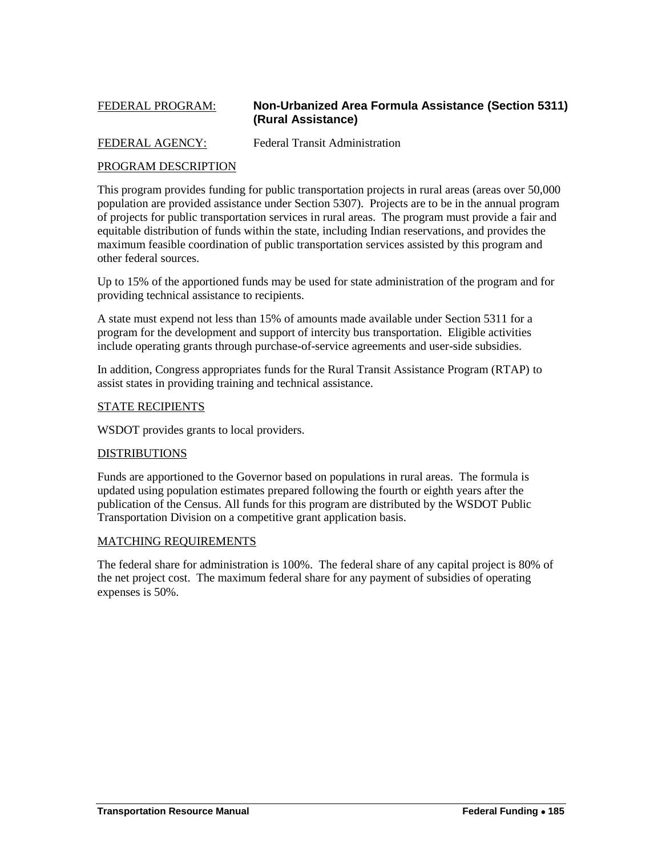## <span id="page-54-0"></span>FEDERAL PROGRAM: **Non-Urbanized Area Formula Assistance (Section 5311) (Rural Assistance)**

## FEDERAL AGENCY: Federal Transit Administration

## PROGRAM DESCRIPTION

This program provides funding for public transportation projects in rural areas (areas over 50,000 population are provided assistance under Section 5307). Projects are to be in the annual program of projects for public transportation services in rural areas. The program must provide a fair and equitable distribution of funds within the state, including Indian reservations, and provides the maximum feasible coordination of public transportation services assisted by this program and other federal sources.

Up to 15% of the apportioned funds may be used for state administration of the program and for providing technical assistance to recipients.

A state must expend not less than 15% of amounts made available under Section 5311 for a program for the development and support of intercity bus transportation. Eligible activities include operating grants through purchase-of-service agreements and user-side subsidies.

In addition, Congress appropriates funds for the Rural Transit Assistance Program (RTAP) to assist states in providing training and technical assistance.

#### STATE RECIPIENTS

WSDOT provides grants to local providers.

#### DISTRIBUTIONS

Funds are apportioned to the Governor based on populations in rural areas. The formula is updated using population estimates prepared following the fourth or eighth years after the publication of the Census. All funds for this program are distributed by the WSDOT Public Transportation Division on a competitive grant application basis.

#### MATCHING REQUIREMENTS

The federal share for administration is 100%. The federal share of any capital project is 80% of the net project cost. The maximum federal share for any payment of subsidies of operating expenses is 50%.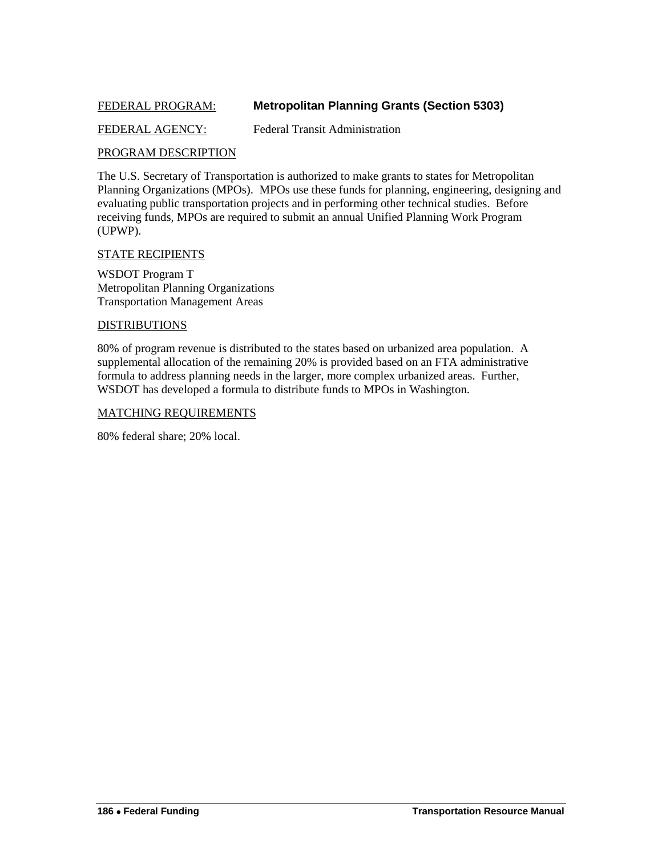## <span id="page-55-0"></span>FEDERAL PROGRAM: **Metropolitan Planning Grants (Section 5303)**

#### FEDERAL AGENCY: Federal Transit Administration

#### PROGRAM DESCRIPTION

The U.S. Secretary of Transportation is authorized to make grants to states for Metropolitan Planning Organizations (MPOs). MPOs use these funds for planning, engineering, designing and evaluating public transportation projects and in performing other technical studies. Before receiving funds, MPOs are required to submit an annual Unified Planning Work Program (UPWP).

#### STATE RECIPIENTS

WSDOT Program T Metropolitan Planning Organizations Transportation Management Areas

#### DISTRIBUTIONS

80% of program revenue is distributed to the states based on urbanized area population. A supplemental allocation of the remaining 20% is provided based on an FTA administrative formula to address planning needs in the larger, more complex urbanized areas. Further, WSDOT has developed a formula to distribute funds to MPOs in Washington.

#### MATCHING REQUIREMENTS

80% federal share; 20% local.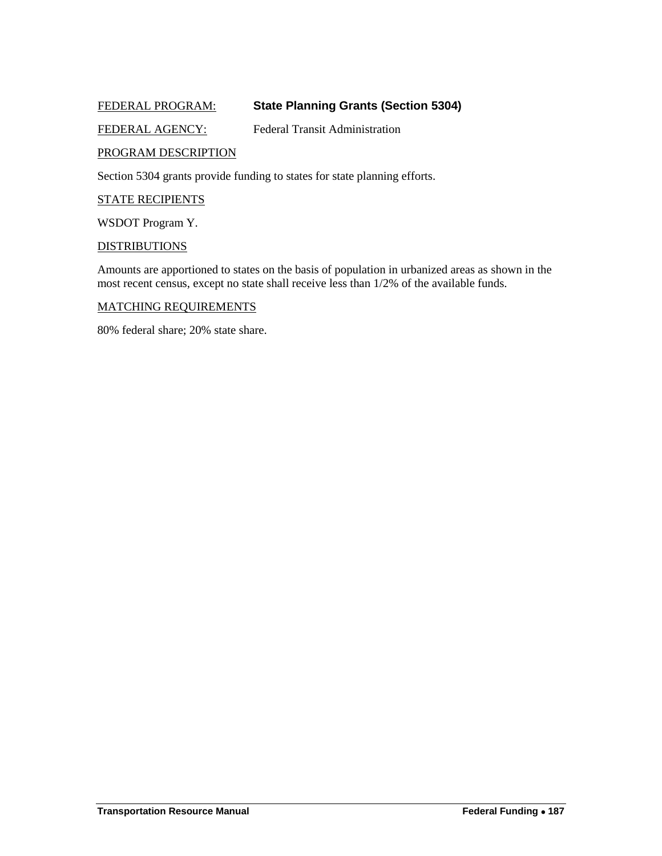## <span id="page-56-0"></span>FEDERAL PROGRAM: **State Planning Grants (Section 5304)**

## FEDERAL AGENCY: Federal Transit Administration

#### PROGRAM DESCRIPTION

Section 5304 grants provide funding to states for state planning efforts.

#### STATE RECIPIENTS

WSDOT Program Y.

#### **DISTRIBUTIONS**

Amounts are apportioned to states on the basis of population in urbanized areas as shown in the most recent census, except no state shall receive less than 1/2% of the available funds.

#### MATCHING REQUIREMENTS

80% federal share; 20% state share.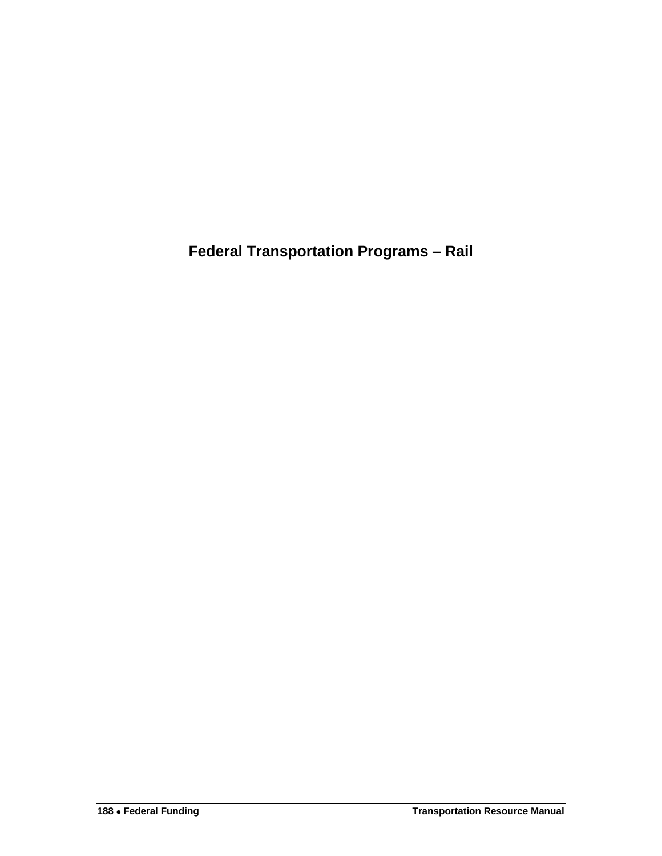<span id="page-57-0"></span>**Federal Transportation Programs – Rail**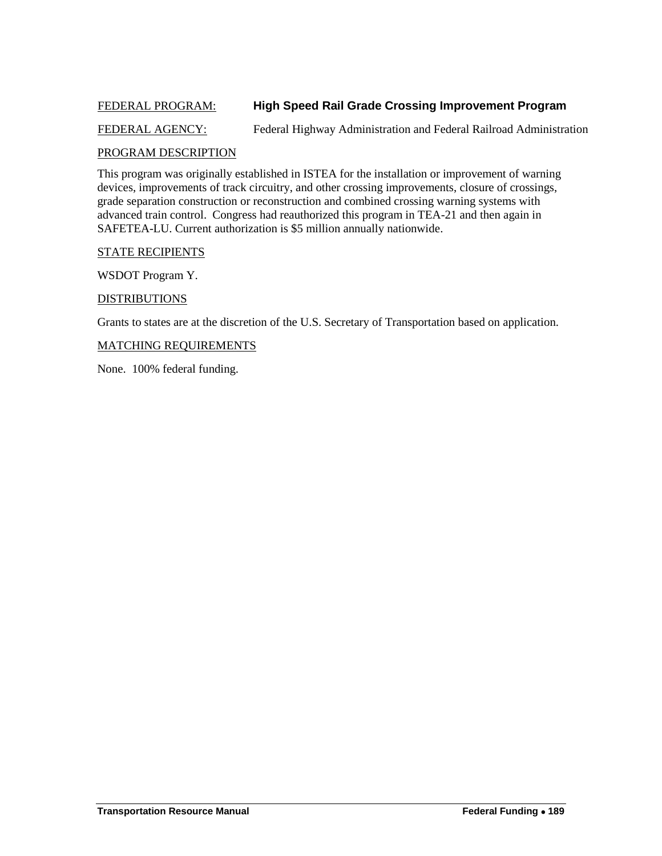## <span id="page-58-0"></span>FEDERAL PROGRAM: **High Speed Rail Grade Crossing Improvement Program**

## FEDERAL AGENCY: Federal Highway Administration and Federal Railroad Administration

## PROGRAM DESCRIPTION

This program was originally established in ISTEA for the installation or improvement of warning devices, improvements of track circuitry, and other crossing improvements, closure of crossings, grade separation construction or reconstruction and combined crossing warning systems with advanced train control. Congress had reauthorized this program in TEA-21 and then again in SAFETEA-LU. Current authorization is \$5 million annually nationwide.

#### STATE RECIPIENTS

WSDOT Program Y.

#### DISTRIBUTIONS

Grants to states are at the discretion of the U.S. Secretary of Transportation based on application.

#### MATCHING REQUIREMENTS

None. 100% federal funding.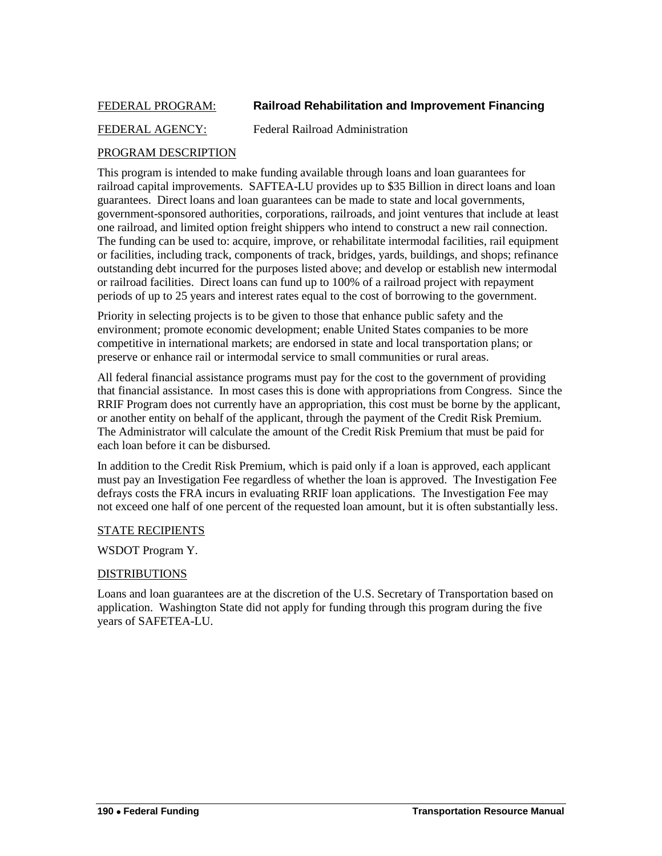## <span id="page-59-0"></span>FEDERAL PROGRAM: **Railroad Rehabilitation and Improvement Financing**

## FEDERAL AGENCY: Federal Railroad Administration

## PROGRAM DESCRIPTION

This program is intended to make funding available through loans and loan guarantees for railroad capital improvements. SAFTEA-LU provides up to \$35 Billion in direct loans and loan guarantees. Direct loans and loan guarantees can be made to state and local governments, government-sponsored authorities, corporations, railroads, and joint ventures that include at least one railroad, and limited option freight shippers who intend to construct a new rail connection. The funding can be used to: acquire, improve, or rehabilitate intermodal facilities, rail equipment or facilities, including track, components of track, bridges, yards, buildings, and shops; refinance outstanding debt incurred for the purposes listed above; and develop or establish new intermodal or railroad facilities. Direct loans can fund up to 100% of a railroad project with repayment periods of up to 25 years and interest rates equal to the cost of borrowing to the government.

Priority in selecting projects is to be given to those that enhance public safety and the environment; promote economic development; enable United States companies to be more competitive in international markets; are endorsed in state and local transportation plans; or preserve or enhance rail or intermodal service to small communities or rural areas.

All federal financial assistance programs must pay for the cost to the government of providing that financial assistance. In most cases this is done with appropriations from Congress. Since the RRIF Program does not currently have an appropriation, this cost must be borne by the applicant, or another entity on behalf of the applicant, through the payment of the Credit Risk Premium. The Administrator will calculate the amount of the Credit Risk Premium that must be paid for each loan before it can be disbursed.

In addition to the Credit Risk Premium, which is paid only if a loan is approved, each applicant must pay an Investigation Fee regardless of whether the loan is approved. The Investigation Fee defrays costs the FRA incurs in evaluating RRIF loan applications. The Investigation Fee may not exceed one half of one percent of the requested loan amount, but it is often substantially less.

#### STATE RECIPIENTS

#### WSDOT Program Y.

#### DISTRIBUTIONS

Loans and loan guarantees are at the discretion of the U.S. Secretary of Transportation based on application. Washington State did not apply for funding through this program during the five years of SAFETEA-LU.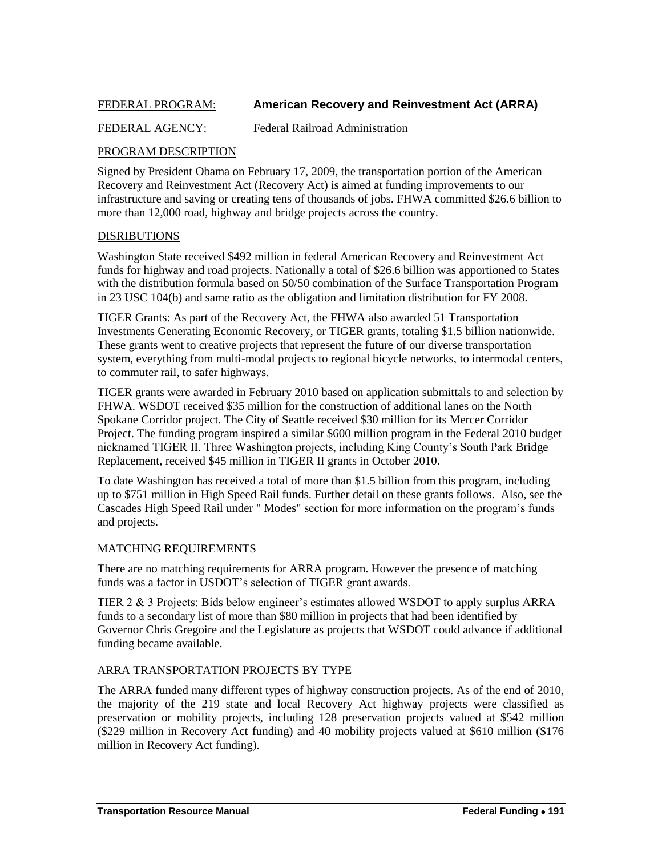## <span id="page-60-0"></span>FEDERAL PROGRAM: **American Recovery and Reinvestment Act (ARRA)**

## FEDERAL AGENCY: Federal Railroad Administration

## PROGRAM DESCRIPTION

Signed by President Obama on February 17, 2009, the transportation portion of the American Recovery and Reinvestment Act (Recovery Act) is aimed at funding improvements to our infrastructure and saving or creating tens of thousands of jobs. FHWA committed \$26.6 billion to more than 12,000 road, highway and bridge projects across the country.

#### DISRIBUTIONS

Washington State received \$492 million in federal American Recovery and Reinvestment Act funds for highway and road projects. Nationally a total of \$26.6 billion was apportioned to States with the distribution formula based on 50/50 combination of the Surface Transportation Program in 23 USC 104(b) and same ratio as the obligation and limitation distribution for FY 2008.

TIGER Grants: As part of the Recovery Act, the FHWA also awarded 51 Transportation Investments Generating Economic Recovery, or TIGER grants, totaling \$1.5 billion nationwide. These grants went to creative projects that represent the future of our diverse transportation system, everything from multi-modal projects to regional bicycle networks, to intermodal centers, to commuter rail, to safer highways.

TIGER grants were awarded in February 2010 based on application submittals to and selection by FHWA. WSDOT received \$35 million for the construction of additional lanes on the North Spokane Corridor project. The City of Seattle received \$30 million for its Mercer Corridor Project. The funding program inspired a similar \$600 million program in the Federal 2010 budget nicknamed TIGER II. Three Washington projects, including King County's South Park Bridge Replacement, received \$45 million in TIGER II grants in October 2010.

To date Washington has received a total of more than \$1.5 billion from this program, including up to \$751 million in High Speed Rail funds. Further detail on these grants follows. Also, see the Cascades High Speed Rail under " Modes" section for more information on the program's funds and projects.

#### MATCHING REQUIREMENTS

There are no matching requirements for ARRA program. However the presence of matching funds was a factor in USDOT's selection of TIGER grant awards.

TIER 2 & 3 Projects: Bids below engineer's estimates allowed WSDOT to apply surplus ARRA funds to a secondary list of more than \$80 million in projects that had been identified by Governor Chris Gregoire and the Legislature as projects that WSDOT could advance if additional funding became available.

#### ARRA TRANSPORTATION PROJECTS BY TYPE

The ARRA funded many different types of highway construction projects. As of the end of 2010, the majority of the 219 state and local Recovery Act highway projects were classified as preservation or mobility projects, including 128 preservation projects valued at \$542 million (\$229 million in Recovery Act funding) and 40 mobility projects valued at \$610 million (\$176 million in Recovery Act funding).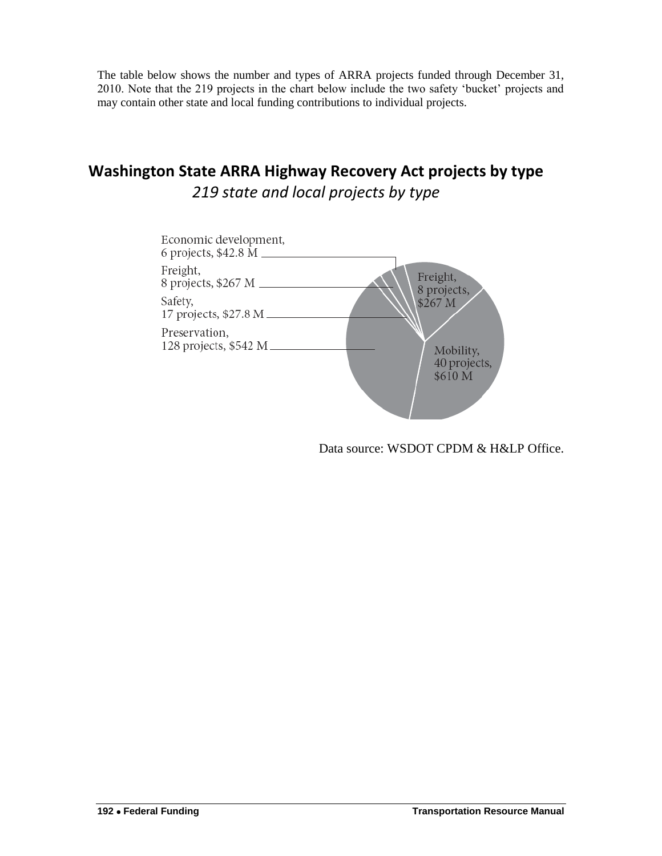The table below shows the number and types of ARRA projects funded through December 31, 2010. Note that the 219 projects in the chart below include the two safety 'bucket' projects and may contain other state and local funding contributions to individual projects.

## **Washington State ARRA Highway Recovery Act projects by type** *219 state and local projects by type*



Data source: WSDOT CPDM & H&LP Office.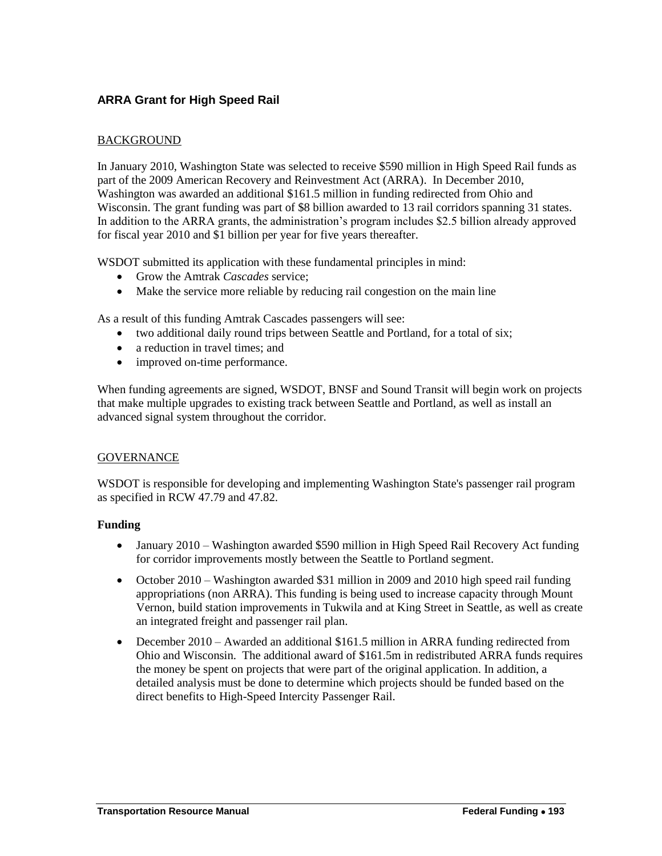## **ARRA Grant for High Speed Rail**

## BACKGROUND

In January 2010, Washington State was selected to receive \$590 million in High Speed Rail funds as part of the 2009 American Recovery and Reinvestment Act (ARRA). In December 2010, Washington was awarded an additional \$161.5 million in funding redirected from Ohio and Wisconsin. The grant funding was part of \$8 billion awarded to 13 rail corridors spanning 31 states. In addition to the ARRA grants, the administration's program includes \$2.5 billion already approved for fiscal year 2010 and \$1 billion per year for five years thereafter.

WSDOT submitted its application with these fundamental principles in mind:

- Grow the Amtrak *Cascades* service;
- Make the service more reliable by reducing rail congestion on the main line

As a result of this funding Amtrak Cascades passengers will see:

- two additional daily round trips between Seattle and Portland, for a total of six;
- a reduction in travel times; and
- improved on-time performance.

When funding agreements are signed, WSDOT, BNSF and Sound Transit will begin work on projects that make multiple upgrades to existing track between Seattle and Portland, as well as install an advanced signal system throughout the corridor.

#### **GOVERNANCE**

WSDOT is responsible for developing and implementing Washington State's passenger rail program as specified in RCW 47.79 and 47.82.

#### **Funding**

- January 2010 Washington awarded \$590 million in High Speed Rail Recovery Act funding for corridor improvements mostly between the Seattle to Portland segment.
- October 2010 Washington awarded \$31 million in 2009 and 2010 high speed rail funding appropriations (non ARRA). This funding is being used to increase capacity through Mount Vernon, build station improvements in Tukwila and at King Street in Seattle, as well as create an integrated freight and passenger rail plan.
- December 2010 Awarded an additional \$161.5 million in ARRA funding redirected from Ohio and Wisconsin. The additional award of \$161.5m in redistributed ARRA funds requires the money be spent on projects that were part of the original application. In addition, a detailed analysis must be done to determine which projects should be funded based on the direct benefits to High-Speed Intercity Passenger Rail.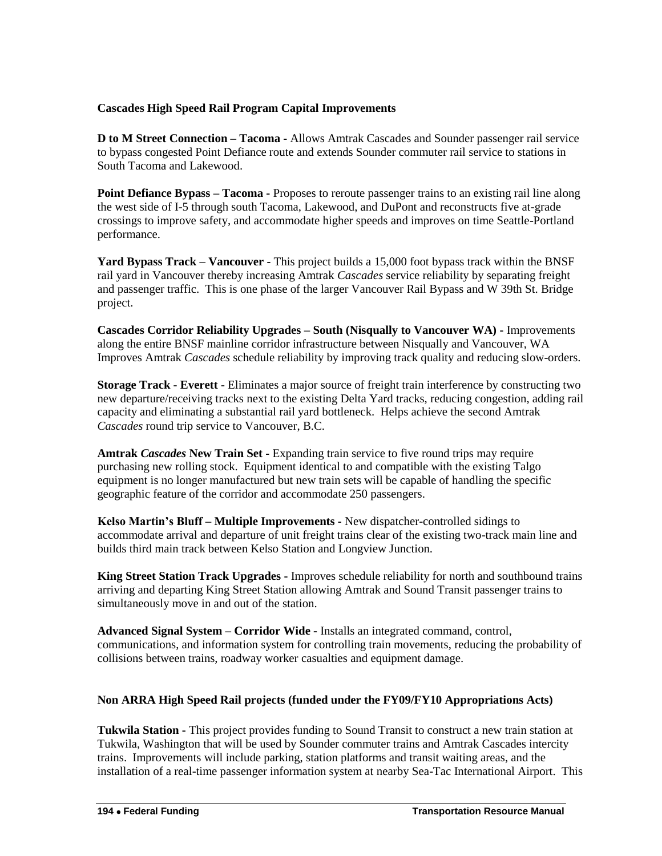## **Cascades High Speed Rail Program Capital Improvements**

**D to M Street Connection – Tacoma -** Allows Amtrak Cascades and Sounder passenger rail service to bypass congested Point Defiance route and extends Sounder commuter rail service to stations in South Tacoma and Lakewood.

**Point Defiance Bypass – Tacoma -** Proposes to reroute passenger trains to an existing rail line along the west side of I-5 through south Tacoma, Lakewood, and DuPont and reconstructs five at-grade crossings to improve safety, and accommodate higher speeds and improves on time Seattle-Portland performance.

**Yard Bypass Track – Vancouver -** This project builds a 15,000 foot bypass track within the BNSF rail yard in Vancouver thereby increasing Amtrak *Cascades* service reliability by separating freight and passenger traffic. This is one phase of the larger Vancouver Rail Bypass and W 39th St. Bridge project.

**Cascades Corridor Reliability Upgrades – South (Nisqually to Vancouver WA) -** Improvements along the entire BNSF mainline corridor infrastructure between Nisqually and Vancouver, WA Improves Amtrak *Cascades* schedule reliability by improving track quality and reducing slow-orders.

**Storage Track - Everett -** Eliminates a major source of freight train interference by constructing two new departure/receiving tracks next to the existing Delta Yard tracks, reducing congestion, adding rail capacity and eliminating a substantial rail yard bottleneck. Helps achieve the second Amtrak *Cascades* round trip service to Vancouver, B.C.

**Amtrak** *Cascades* **New Train Set -** Expanding train service to five round trips may require purchasing new rolling stock. Equipment identical to and compatible with the existing Talgo equipment is no longer manufactured but new train sets will be capable of handling the specific geographic feature of the corridor and accommodate 250 passengers.

**Kelso Martin's Bluff – Multiple Improvements -** New dispatcher-controlled sidings to accommodate arrival and departure of unit freight trains clear of the existing two-track main line and builds third main track between Kelso Station and Longview Junction.

**King Street Station Track Upgrades -** Improves schedule reliability for north and southbound trains arriving and departing King Street Station allowing Amtrak and Sound Transit passenger trains to simultaneously move in and out of the station.

**Advanced Signal System – Corridor Wide -** Installs an integrated command, control, communications, and information system for controlling train movements, reducing the probability of collisions between trains, roadway worker casualties and equipment damage.

## **Non ARRA High Speed Rail projects (funded under the FY09/FY10 Appropriations Acts)**

**Tukwila Station -** This project provides funding to Sound Transit to construct a new train station at Tukwila, Washington that will be used by Sounder commuter trains and Amtrak Cascades intercity trains. Improvements will include parking, station platforms and transit waiting areas, and the installation of a real-time passenger information system at nearby Sea-Tac International Airport. This